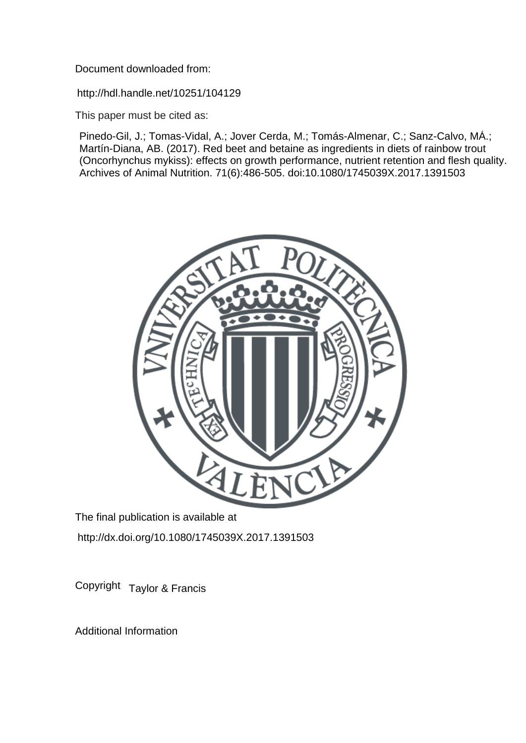Document downloaded from:

http://hdl.handle.net/10251/104129

This paper must be cited as:

Pinedo-Gil, J.; Tomas-Vidal, A.; Jover Cerda, M.; Tomás-Almenar, C.; Sanz-Calvo, MÁ.; Martín-Diana, AB. (2017). Red beet and betaine as ingredients in diets of rainbow trout (Oncorhynchus mykiss): effects on growth performance, nutrient retention and flesh quality. Archives of Animal Nutrition. 71(6):486-505. doi:10.1080/1745039X.2017.1391503



The final publication is available at http://dx.doi.org/10.1080/1745039X.2017.1391503

Copyright Taylor & Francis

Additional Information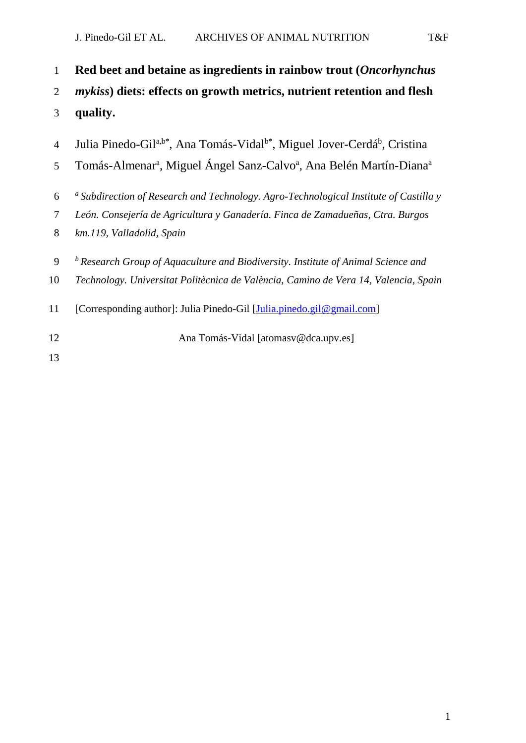**Red beet and betaine as ingredients in rainbow trout (***Oncorhynchus* 

*mykiss***) diets: effects on growth metrics, nutrient retention and flesh** 

**quality.**

- 4 Iulia Pinedo-Gil<sup>a,b\*</sup>, Ana Tomás-Vidal<sup>b\*</sup>, Miguel Jover-Cerdá<sup>b</sup>, Cristina
- Tomás-Almenarª, Miguel Ángel Sanz-Calvoª, Ana Belén Martín-Dianaª

*a Subdirection of Research and Technology. Agro-Technological Institute of Castilla y* 

- *León. Consejería de Agricultura y Ganadería. Finca de Zamadueñas, Ctra. Burgos*
- *km.119, Valladolid, Spain*
- *b Research Group of Aquaculture and Biodiversity. Institute of Animal Science and*
- *Technology. Universitat Politècnica de València, Camino de Vera 14, Valencia, Spain*
- [Corresponding author]: Julia Pinedo-Gil [\[Julia.pinedo.gil@gmail.com\]](mailto:Julia.pinedo.gil@gmail.com)

12 Ana Tomás-Vidal [atomasv@dca.upv.es]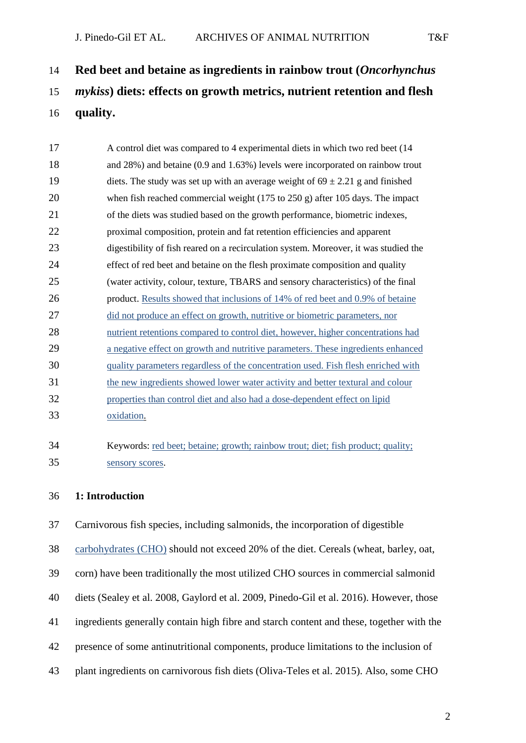- A control diet was compared to 4 experimental diets in which two red beet (14 and 28%) and betaine (0.9 and 1.63%) levels were incorporated on rainbow trout 19 diets. The study was set up with an average weight of  $69 \pm 2.21$  g and finished when fish reached commercial weight (175 to 250 g) after 105 days. The impact of the diets was studied based on the growth performance, biometric indexes, proximal composition, protein and fat retention efficiencies and apparent digestibility of fish reared on a recirculation system. Moreover, it was studied the effect of red beet and betaine on the flesh proximate composition and quality (water activity, colour, texture, TBARS and sensory characteristics) of the final 26 product. Results showed that inclusions of 14% of red beet and 0.9% of betaine did not produce an effect on growth, nutritive or biometric parameters, nor nutrient retentions compared to control diet, however, higher concentrations had a negative effect on growth and nutritive parameters. These ingredients enhanced quality parameters regardless of the concentration used. Fish flesh enriched with the new ingredients showed lower water activity and better textural and colour properties than control diet and also had a dose-dependent effect on lipid oxidation.
- Keywords: red beet; betaine; growth; rainbow trout; diet; fish product; quality; sensory scores.

# **1: Introduction**

Carnivorous fish species, including salmonids, the incorporation of digestible

carbohydrates (CHO) should not exceed 20% of the diet. Cereals (wheat, barley, oat,

corn) have been traditionally the most utilized CHO sources in commercial salmonid

diets (Sealey et al. 2008, Gaylord et al. 2009, Pinedo-Gil et al. 2016). However, those

ingredients generally contain high fibre and starch content and these, together with the

- presence of some antinutritional components, produce limitations to the inclusion of
- plant ingredients on carnivorous fish diets (Oliva-Teles et al. 2015). Also, some CHO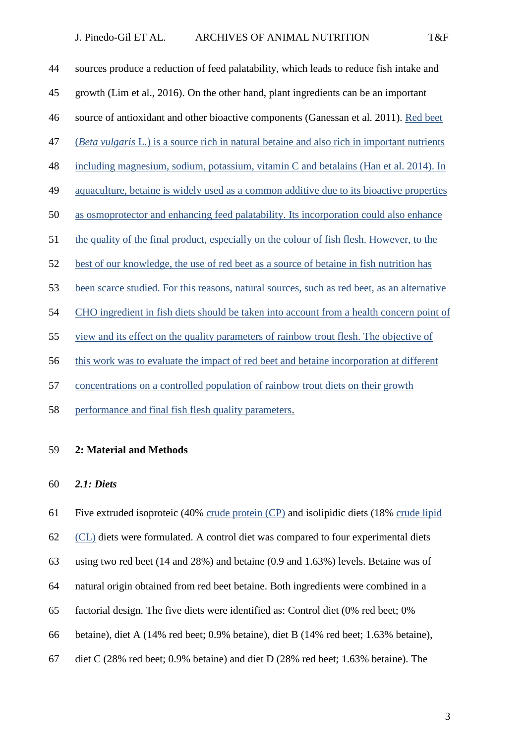sources produce a reduction of feed palatability, which leads to reduce fish intake and growth (Lim et al., 2016). On the other hand, plant ingredients can be an important source of antioxidant and other bioactive components (Ganessan et al. 2011). Red beet (*Beta vulgaris* L.) is a source rich in natural betaine and also rich in important nutrients including magnesium, sodium, potassium, vitamin C and betalains (Han et al. 2014). In aquaculture, betaine is widely used as a common additive due to its bioactive properties as osmoprotector and enhancing feed palatability. Its incorporation could also enhance the quality of the final product, especially on the colour of fish flesh. However, to the best of our knowledge, the use of red beet as a source of betaine in fish nutrition has been scarce studied. For this reasons, natural sources, such as red beet, as an alternative CHO ingredient in fish diets should be taken into account from a health concern point of view and its effect on the quality parameters of rainbow trout flesh. The objective of this work was to evaluate the impact of red beet and betaine incorporation at different concentrations on a controlled population of rainbow trout diets on their growth

performance and final fish flesh quality parameters.

# **2: Material and Methods**

### *2.1: Diets*

 Five extruded isoproteic (40% crude protein (CP) and isolipidic diets (18% crude lipid (CL) diets were formulated. A control diet was compared to four experimental diets using two red beet (14 and 28%) and betaine (0.9 and 1.63%) levels. Betaine was of natural origin obtained from red beet betaine. Both ingredients were combined in a factorial design. The five diets were identified as: Control diet (0% red beet; 0% betaine), diet A (14% red beet; 0.9% betaine), diet B (14% red beet; 1.63% betaine), diet C (28% red beet; 0.9% betaine) and diet D (28% red beet; 1.63% betaine). The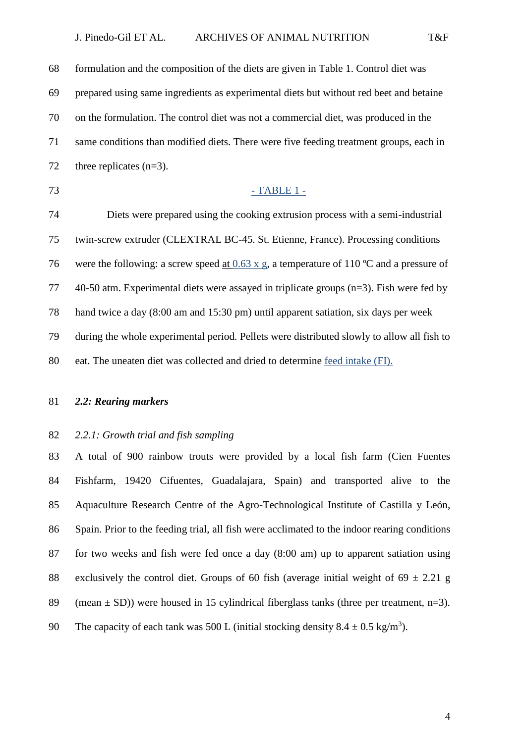formulation and the composition of the diets are given in Table 1. Control diet was prepared using same ingredients as experimental diets but without red beet and betaine on the formulation. The control diet was not a commercial diet, was produced in the same conditions than modified diets. There were five feeding treatment groups, each in 72 three replicates (n=3).

# - TABLE 1 -

 Diets were prepared using the cooking extrusion process with a semi-industrial twin-screw extruder (CLEXTRAL BC-45. St. Etienne, France). Processing conditions 76 were the following: a screw speed at 0.63 x g, a temperature of 110 °C and a pressure of 40-50 atm. Experimental diets were assayed in triplicate groups (n=3). Fish were fed by hand twice a day (8:00 am and 15:30 pm) until apparent satiation, six days per week during the whole experimental period. Pellets were distributed slowly to allow all fish to eat. The uneaten diet was collected and dried to determine feed intake (FI).

# *2.2: Rearing markers*

# *2.2.1: Growth trial and fish sampling*

 A total of 900 rainbow trouts were provided by a local fish farm (Cien Fuentes Fishfarm, 19420 Cifuentes, Guadalajara, Spain) and transported alive to the Aquaculture Research Centre of the Agro-Technological Institute of Castilla y León, Spain. Prior to the feeding trial, all fish were acclimated to the indoor rearing conditions for two weeks and fish were fed once a day (8:00 am) up to apparent satiation using 88 exclusively the control diet. Groups of 60 fish (average initial weight of  $69 \pm 2.21$  g 89 (mean  $\pm$  SD)) were housed in 15 cylindrical fiberglass tanks (three per treatment, n=3). 90 The capacity of each tank was 500 L (initial stocking density  $8.4 \pm 0.5$  kg/m<sup>3</sup>).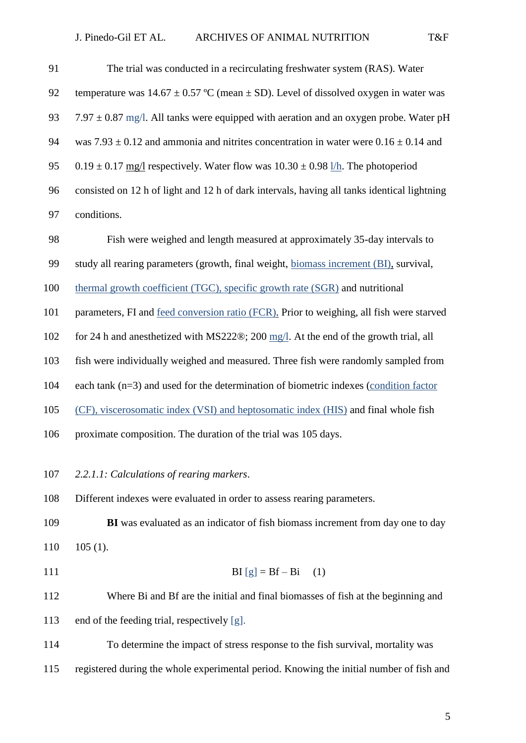| 91         | The trial was conducted in a recirculating freshwater system (RAS). Water                             |
|------------|-------------------------------------------------------------------------------------------------------|
| 92         | temperature was $14.67 \pm 0.57$ °C (mean $\pm$ SD). Level of dissolved oxygen in water was           |
| 93         | $7.97 \pm 0.87$ mg/l. All tanks were equipped with aeration and an oxygen probe. Water pH             |
| 94         | was $7.93 \pm 0.12$ and ammonia and nitrites concentration in water were $0.16 \pm 0.14$ and          |
| 95         | $0.19 \pm 0.17$ mg/l respectively. Water flow was $10.30 \pm 0.98$ $1/h$ . The photoperiod            |
| 96         | consisted on 12 h of light and 12 h of dark intervals, having all tanks identical lightning           |
| 97         | conditions.                                                                                           |
| 98         | Fish were weighed and length measured at approximately 35-day intervals to                            |
| 99         | study all rearing parameters (growth, final weight, biomass increment (BI), survival,                 |
| 100        | thermal growth coefficient (TGC), specific growth rate (SGR) and nutritional                          |
| 101        | parameters, FI and feed conversion ratio (FCR). Prior to weighing, all fish were starved              |
| 102        | for 24 h and anesthetized with MS222®; 200 mg/l. At the end of the growth trial, all                  |
| 103        | fish were individually weighed and measured. Three fish were randomly sampled from                    |
| 104        | each tank (n=3) and used for the determination of biometric indexes (condition factor                 |
| $1 \cap F$ | $(CD)$ signaportion of $\mathcal{L}(\mathcal{O})$ and bottogeneate index (HIC) and final vitals field |

- (CF), viscerosomatic index (VSI) and heptosomatic index (HIS) and final whole fish
- proximate composition. The duration of the trial was 105 days.
- *2.2.1.1: Calculations of rearing markers*.

Different indexes were evaluated in order to assess rearing parameters.

- **BI** was evaluated as an indicator of fish biomass increment from day one to day 105 (1).
- 
- 111 **BI**  $[g] = Bf Bi$  (1)
- Where Bi and Bf are the initial and final biomasses of fish at the beginning and end of the feeding trial, respectively [g].
- To determine the impact of stress response to the fish survival, mortality was registered during the whole experimental period. Knowing the initial number of fish and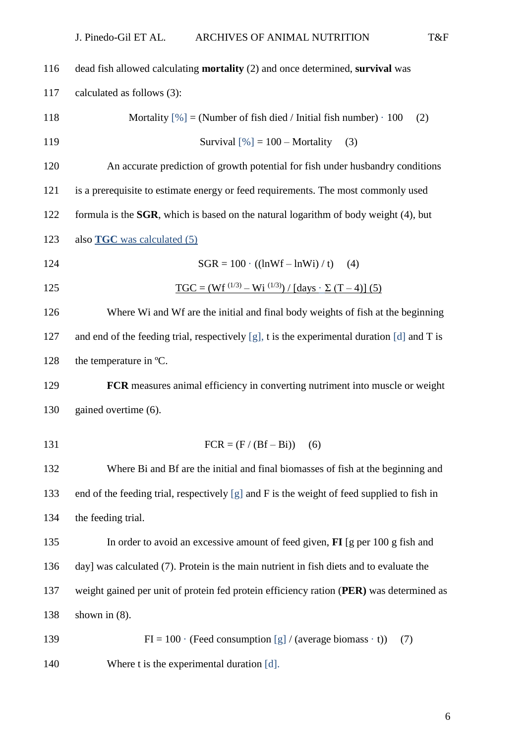| 116 | dead fish allowed calculating <b>mortality</b> (2) and once determined, <b>survival</b> was      |
|-----|--------------------------------------------------------------------------------------------------|
| 117 | calculated as follows (3):                                                                       |
| 118 | Mortality $[\%] =$ (Number of fish died / Initial fish number) $\cdot$ 100<br>(2)                |
| 119 | Survival $[\%] = 100 -$ Mortality<br>(3)                                                         |
| 120 | An accurate prediction of growth potential for fish under husbandry conditions                   |
| 121 | is a prerequisite to estimate energy or feed requirements. The most commonly used                |
| 122 | formula is the $SGR$ , which is based on the natural logarithm of body weight (4), but           |
| 123 | also $TGC$ was calculated $(5)$                                                                  |
| 124 | $SGR = 100 \cdot ((lnWf - lnWi) / t)$ (4)                                                        |
| 125 | $TC = (Wf(1/3) - Wi(1/3)) / [days \cdot \Sigma (T-4)] (5)$                                       |
| 126 | Where Wi and Wf are the initial and final body weights of fish at the beginning                  |
| 127 | and end of the feeding trial, respectively $[g]$ , t is the experimental duration $[d]$ and T is |
| 128 | the temperature in °C.                                                                           |
| 129 | <b>FCR</b> measures animal efficiency in converting nutriment into muscle or weight              |
| 130 | gained overtime (6).                                                                             |
| 131 | $FCR = (F / (Bf - Bi))$<br>(6)                                                                   |
|     |                                                                                                  |
| 132 | Where Bi and Bf are the initial and final biomasses of fish at the beginning and                 |
| 133 | end of the feeding trial, respectively [g] and F is the weight of feed supplied to fish in       |
| 134 | the feeding trial.                                                                               |
| 135 | In order to avoid an excessive amount of feed given, $\bf{FI}$ [g per 100 g fish and             |
| 136 | day] was calculated (7). Protein is the main nutrient in fish diets and to evaluate the          |
| 137 | weight gained per unit of protein fed protein efficiency ration (PER) was determined as          |
| 138 | shown in $(8)$ .                                                                                 |
| 139 | $FI = 100 \cdot (Feed consumption [g] / (average biomass \cdot t))$<br>(7)                       |
| 140 | Where t is the experimental duration [d].                                                        |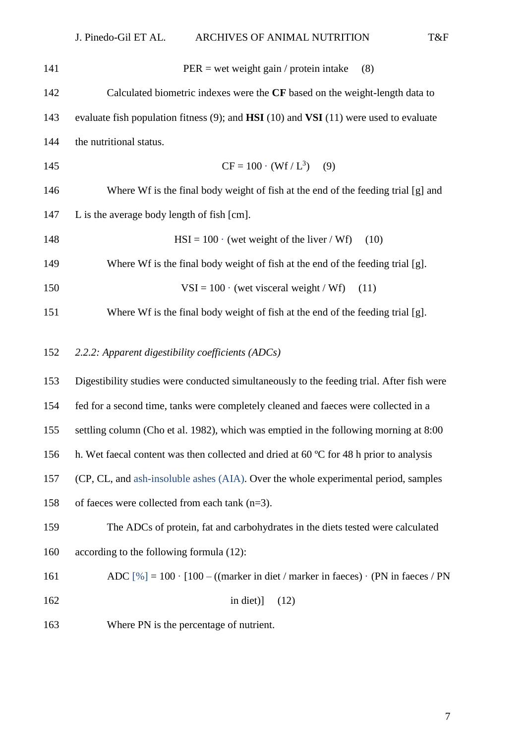| 141 | $PER = wet weight gain / protein intake$<br>(8)                                                     |
|-----|-----------------------------------------------------------------------------------------------------|
| 142 | Calculated biometric indexes were the CF based on the weight-length data to                         |
| 143 | evaluate fish population fitness (9); and <b>HSI</b> (10) and <b>VSI</b> (11) were used to evaluate |
| 144 | the nutritional status.                                                                             |
| 145 | $CF = 100 \cdot (Wf/L^3)$ (9)                                                                       |
| 146 | Where Wf is the final body weight of fish at the end of the feeding trial [g] and                   |
| 147 | L is the average body length of fish [cm].                                                          |
| 148 | $HSI = 100 \cdot (wet weight of the liver / Wf)$<br>(10)                                            |
| 149 | Where Wf is the final body weight of fish at the end of the feeding trial [g].                      |
| 150 | $VSI = 100 \cdot (wet visceral weight / Wf)$<br>(11)                                                |
| 151 | Where Wf is the final body weight of fish at the end of the feeding trial [g].                      |
| 152 | 2.2.2: Apparent digestibility coefficients (ADCs)                                                   |
| 153 | Digestibility studies were conducted simultaneously to the feeding trial. After fish were           |
| 154 | fed for a second time, tanks were completely cleaned and faeces were collected in a                 |
| 155 | settling column (Cho et al. 1982), which was emptied in the following morning at 8:00               |
| 156 | h. Wet faecal content was then collected and dried at 60 $\degree$ C for 48 h prior to analysis     |
| 157 | (CP, CL, and ash-insoluble ashes (AIA). Over the whole experimental period, samples                 |
| 158 | of faeces were collected from each tank $(n=3)$ .                                                   |
| 159 | The ADCs of protein, fat and carbohydrates in the diets tested were calculated                      |
| 160 | according to the following formula (12):                                                            |
| 161 | ADC $[\%] = 100 \cdot [100 - ((market in diet / marker in faces) \cdot (PN in faces / PN$           |
| 162 | in diet)]<br>(12)                                                                                   |
| 163 | Where PN is the percentage of nutrient.                                                             |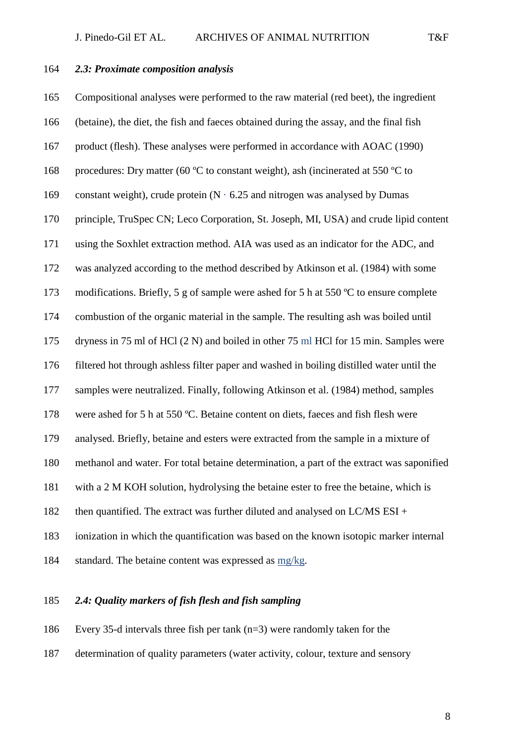# *2.3: Proximate composition analysis*

 Compositional analyses were performed to the raw material (red beet), the ingredient (betaine), the diet, the fish and faeces obtained during the assay, and the final fish product (flesh). These analyses were performed in accordance with AOAC (1990) 168 procedures: Dry matter (60 °C to constant weight), ash (incinerated at 550 °C to 169 constant weight), crude protein  $(N \cdot 6.25)$  and nitrogen was analysed by Dumas principle, TruSpec CN; Leco Corporation, St. Joseph, MI, USA) and crude lipid content using the Soxhlet extraction method. AIA was used as an indicator for the ADC, and was analyzed according to the method described by Atkinson et al. (1984) with some modifications. Briefly, 5 g of sample were ashed for 5 h at 550 ºC to ensure complete combustion of the organic material in the sample. The resulting ash was boiled until dryness in 75 ml of HCl (2 N) and boiled in other 75 ml HCl for 15 min. Samples were filtered hot through ashless filter paper and washed in boiling distilled water until the samples were neutralized. Finally, following Atkinson et al. (1984) method, samples 178 were ashed for 5 h at 550 °C. Betaine content on diets, faeces and fish flesh were analysed. Briefly, betaine and esters were extracted from the sample in a mixture of methanol and water. For total betaine determination, a part of the extract was saponified with a 2 M KOH solution, hydrolysing the betaine ester to free the betaine, which is 182 then quantified. The extract was further diluted and analysed on LC/MS  $ESI +$  ionization in which the quantification was based on the known isotopic marker internal 184 standard. The betaine content was expressed as mg/kg.

# *2.4: Quality markers of fish flesh and fish sampling*

Every 35-d intervals three fish per tank (n=3) were randomly taken for the

determination of quality parameters (water activity, colour, texture and sensory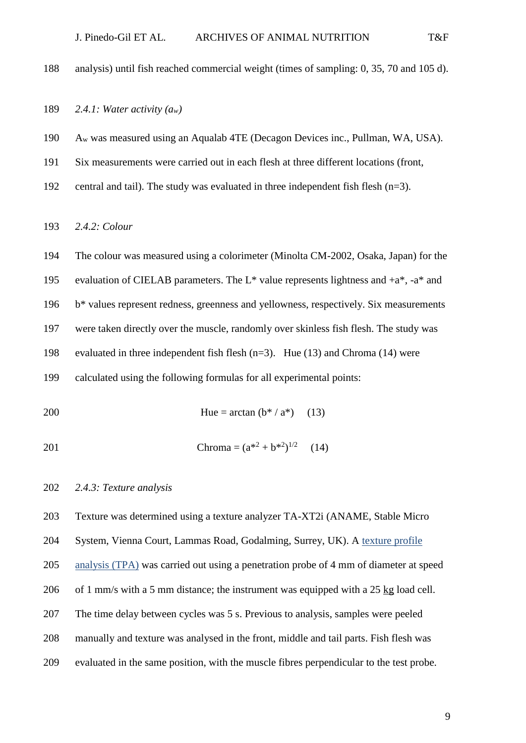analysis) until fish reached commercial weight (times of sampling: 0, 35, 70 and 105 d).

*2.4.1: Water activity (aw)*

- A<sup>w</sup> was measured using an Aqualab 4TE (Decagon Devices inc., Pullman, WA, USA).
- Six measurements were carried out in each flesh at three different locations (front,
- central and tail). The study was evaluated in three independent fish flesh (n=3).

*2.4.2: Colour*

The colour was measured using a colorimeter (Minolta CM-2002, Osaka, Japan) for the

195 evaluation of CIELAB parameters. The  $L^*$  value represents lightness and  $+a^*$ ,  $-a^*$  and

b\* values represent redness, greenness and yellowness, respectively. Six measurements

were taken directly over the muscle, randomly over skinless fish flesh. The study was

evaluated in three independent fish flesh (n=3). Hue (13) and Chroma (14) were

calculated using the following formulas for all experimental points:

$$
200 \qquad \qquad \text{Hue} = \arctan (b^* / a^*) \quad (13)
$$

201 Chroma =  $(a^{*2} + b^{*2})^{1/2}$  (14)

### *2.4.3: Texture analysis*

Texture was determined using a texture analyzer TA-XT2i (ANAME, Stable Micro

System, Vienna Court, Lammas Road, Godalming, Surrey, UK). A texture profile

analysis (TPA) was carried out using a penetration probe of 4 mm of diameter at speed

of 1 mm/s with a 5 mm distance; the instrument was equipped with a 25 kg load cell.

- The time delay between cycles was 5 s. Previous to analysis, samples were peeled
- manually and texture was analysed in the front, middle and tail parts. Fish flesh was
- evaluated in the same position, with the muscle fibres perpendicular to the test probe.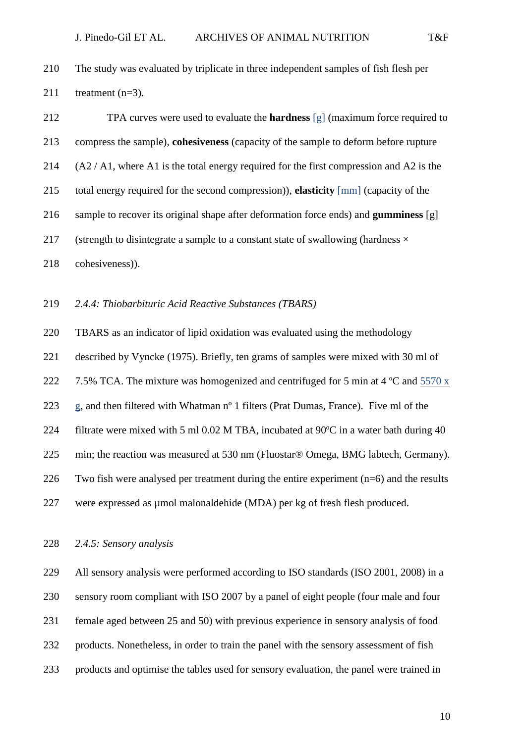The study was evaluated by triplicate in three independent samples of fish flesh per 211 treatment  $(n=3)$ .

 TPA curves were used to evaluate the **hardness** [g] (maximum force required to compress the sample), **cohesiveness** (capacity of the sample to deform before rupture (A2 / A1, where A1 is the total energy required for the first compression and A2 is the total energy required for the second compression)), **elasticity** [mm] (capacity of the sample to recover its original shape after deformation force ends) and **gumminess** [g] 217 (strength to disintegrate a sample to a constant state of swallowing (hardness  $\times$ cohesiveness)).

# *2.4.4: Thiobarbituric Acid Reactive Substances (TBARS)*

 TBARS as an indicator of lipid oxidation was evaluated using the methodology described by Vyncke (1975). Briefly, ten grams of samples were mixed with 30 ml of 222 7.5% TCA. The mixture was homogenized and centrifuged for 5 min at 4  $\degree$ C and 5570 x g, and then filtered with Whatman nº 1 filters (Prat Dumas, France). Five ml of the 224 filtrate were mixed with 5 ml 0.02 M TBA, incubated at 90°C in a water bath during 40 min; the reaction was measured at 530 nm (Fluostar® Omega, BMG labtech, Germany). Two fish were analysed per treatment during the entire experiment (n=6) and the results were expressed as µmol malonaldehide (MDA) per kg of fresh flesh produced.

### *2.4.5: Sensory analysis*

 All sensory analysis were performed according to ISO standards (ISO 2001, 2008) in a sensory room compliant with ISO 2007 by a panel of eight people (four male and four female aged between 25 and 50) with previous experience in sensory analysis of food products. Nonetheless, in order to train the panel with the sensory assessment of fish products and optimise the tables used for sensory evaluation, the panel were trained in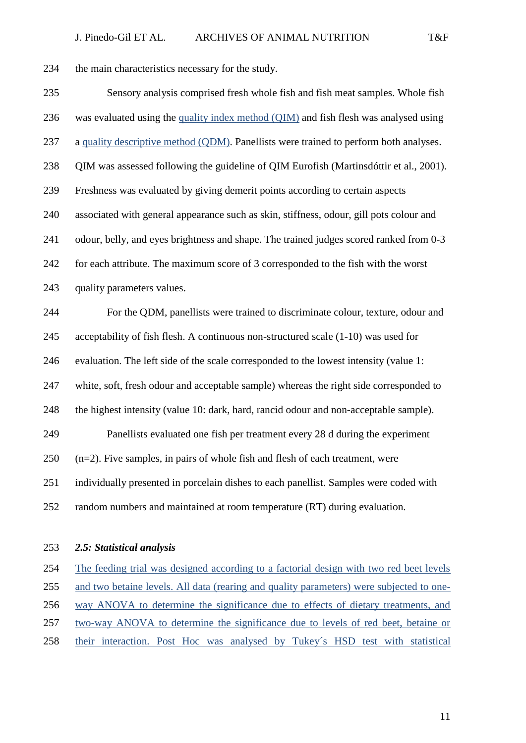the main characteristics necessary for the study.

| 235 | Sensory analysis comprised fresh whole fish and fish meat samples. Whole fish           |
|-----|-----------------------------------------------------------------------------------------|
| 236 | was evaluated using the quality index method (QIM) and fish flesh was analysed using    |
| 237 | a quality descriptive method (QDM). Panellists were trained to perform both analyses.   |
| 238 | QIM was assessed following the guideline of QIM Eurofish (Martinsdóttir et al., 2001).  |
| 239 | Freshness was evaluated by giving demerit points according to certain aspects           |
| 240 | associated with general appearance such as skin, stiffness, odour, gill pots colour and |
| 241 | odour, belly, and eyes brightness and shape. The trained judges scored ranked from 0-3  |
| 242 | for each attribute. The maximum score of 3 corresponded to the fish with the worst      |
| 243 | quality parameters values.                                                              |
| 244 | For the QDM, panellists were trained to discriminate colour, texture, odour and         |
| 245 | acceptability of fish flesh. A continuous non-structured scale (1-10) was used for      |
| 246 | evaluation. The left side of the scale corresponded to the lowest intensity (value 1:   |
| 247 | white, soft, fresh odour and acceptable sample) whereas the right side corresponded to  |
| 248 | the highest intensity (value 10: dark, hard, rancid odour and non-acceptable sample).   |
| 249 | Panellists evaluated one fish per treatment every 28 d during the experiment            |
| 250 | $(n=2)$ . Five samples, in pairs of whole fish and flesh of each treatment, were        |
| 251 | individually presented in porcelain dishes to each panellist. Samples were coded with   |
| 252 | random numbers and maintained at room temperature (RT) during evaluation.               |
|     |                                                                                         |

*2.5: Statistical analysis*

 The feeding trial was designed according to a factorial design with two red beet levels and two betaine levels. All data (rearing and quality parameters) were subjected to one- way ANOVA to determine the significance due to effects of dietary treatments, and two-way ANOVA to determine the significance due to levels of red beet, betaine or their interaction. Post Hoc was analysed by Tukey´s HSD test with statistical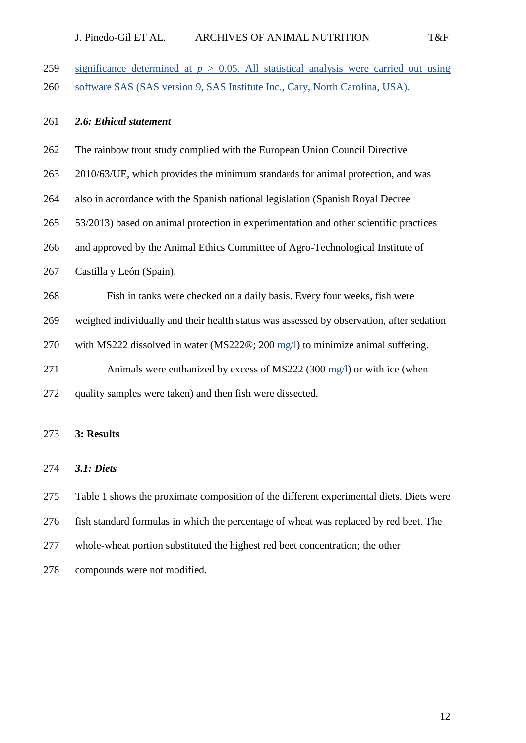significance determined at *p* > 0.05. All statistical analysis were carried out using

software SAS (SAS version 9, SAS Institute Inc., Cary, North Carolina, USA).

# *2.6: Ethical statement*

- The rainbow trout study complied with the European Union Council Directive
- 2010/63/UE, which provides the minimum standards for animal protection, and was
- also in accordance with the Spanish national legislation (Spanish Royal Decree
- 53/2013) based on animal protection in experimentation and other scientific practices
- and approved by the Animal Ethics Committee of Agro-Technological Institute of
- Castilla y León (Spain).
- Fish in tanks were checked on a daily basis. Every four weeks, fish were
- weighed individually and their health status was assessed by observation, after sedation
- with MS222 dissolved in water (MS222®; 200 mg/l) to minimize animal suffering.
- Animals were euthanized by excess of MS222 (300 mg/l) or with ice (when
- quality samples were taken) and then fish were dissected.

### **3: Results**

# *3.1: Diets*

- Table 1 shows the proximate composition of the different experimental diets. Diets were
- fish standard formulas in which the percentage of wheat was replaced by red beet. The
- whole-wheat portion substituted the highest red beet concentration; the other
- compounds were not modified.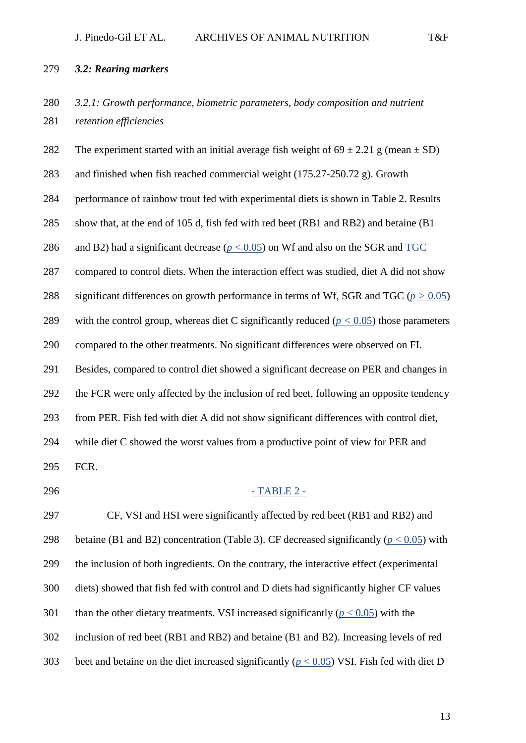# *3.2: Rearing markers*

# *3.2.1: Growth performance, biometric parameters, body composition and nutrient retention efficiencies*

282 The experiment started with an initial average fish weight of  $69 \pm 2.21$  g (mean  $\pm$  SD) and finished when fish reached commercial weight (175.27-250.72 g). Growth performance of rainbow trout fed with experimental diets is shown in Table 2. Results show that, at the end of 105 d, fish fed with red beet (RB1 and RB2) and betaine (B1 286 and B2) had a significant decrease  $(p < 0.05)$  on Wf and also on the SGR and TGC compared to control diets. When the interaction effect was studied, diet A did not show significant differences on growth performance in terms of Wf, SGR and TGC (*p >* 0.05) 289 with the control group, whereas diet C significantly reduced  $(p < 0.05)$  those parameters compared to the other treatments. No significant differences were observed on FI. Besides, compared to control diet showed a significant decrease on PER and changes in the FCR were only affected by the inclusion of red beet, following an opposite tendency from PER. Fish fed with diet A did not show significant differences with control diet, while diet C showed the worst values from a productive point of view for PER and FCR.

### 296 - TABLE 2 -

 CF, VSI and HSI were significantly affected by red beet (RB1 and RB2) and 298 betaine (B1 and B2) concentration (Table 3). CF decreased significantly ( $p < 0.05$ ) with the inclusion of both ingredients. On the contrary, the interactive effect (experimental diets) showed that fish fed with control and D diets had significantly higher CF values 301 than the other dietary treatments. VSI increased significantly  $(p < 0.05)$  with the inclusion of red beet (RB1 and RB2) and betaine (B1 and B2). Increasing levels of red 303 beet and betaine on the diet increased significantly  $(p < 0.05)$  VSI. Fish fed with diet D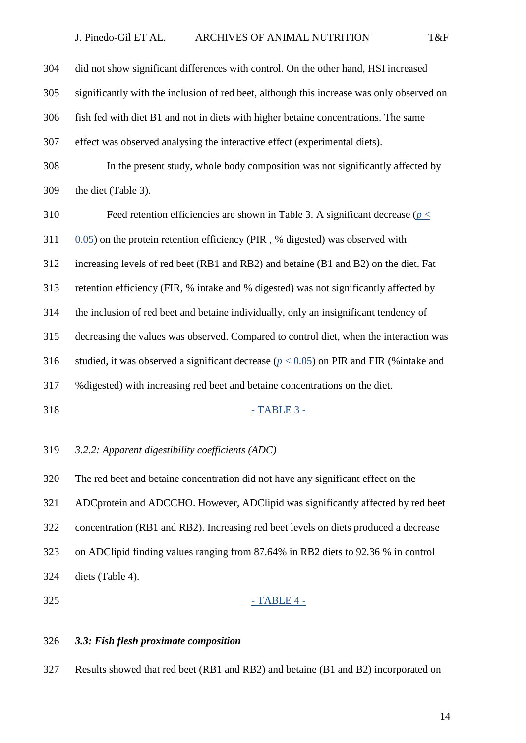did not show significant differences with control. On the other hand, HSI increased significantly with the inclusion of red beet, although this increase was only observed on fish fed with diet B1 and not in diets with higher betaine concentrations. The same

- effect was observed analysing the interactive effect (experimental diets).
- In the present study, whole body composition was not significantly affected by the diet (Table 3).
- 310 Feed retention efficiencies are shown in Table 3. A significant decrease ( $p \leq$ 0.05) on the protein retention efficiency (PIR , % digested) was observed with

increasing levels of red beet (RB1 and RB2) and betaine (B1 and B2) on the diet. Fat

retention efficiency (FIR, % intake and % digested) was not significantly affected by

the inclusion of red beet and betaine individually, only an insignificant tendency of

decreasing the values was observed. Compared to control diet, when the interaction was

316 studied, it was observed a significant decrease ( $p < 0.05$ ) on PIR and FIR (%intake and

%digested) with increasing red beet and betaine concentrations on the diet.

# 318 - TABLE 3 -

*3.2.2: Apparent digestibility coefficients (ADC)*

 The red beet and betaine concentration did not have any significant effect on the ADCprotein and ADCCHO. However, ADClipid was significantly affected by red beet concentration (RB1 and RB2). Increasing red beet levels on diets produced a decrease on ADClipid finding values ranging from 87.64% in RB2 diets to 92.36 % in control diets (Table 4).

### 325 - TABLE 4 -

### *3.3: Fish flesh proximate composition*

Results showed that red beet (RB1 and RB2) and betaine (B1 and B2) incorporated on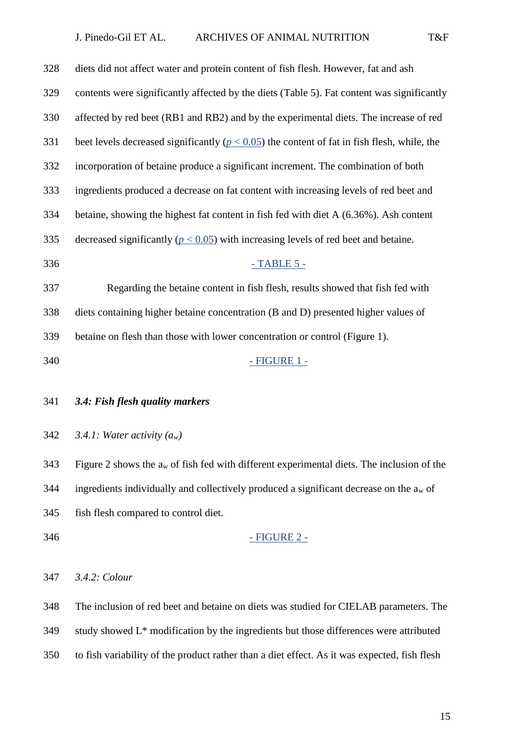| 328 | diets did not affect water and protein content of fish flesh. However, fat and ash              |
|-----|-------------------------------------------------------------------------------------------------|
| 329 | contents were significantly affected by the diets (Table 5). Fat content was significantly      |
| 330 | affected by red beet (RB1 and RB2) and by the experimental diets. The increase of red           |
| 331 | beet levels decreased significantly ( $p < 0.05$ ) the content of fat in fish flesh, while, the |
| 332 | incorporation of betaine produce a significant increment. The combination of both               |
| 333 | ingredients produced a decrease on fat content with increasing levels of red beet and           |
| 334 | betaine, showing the highest fat content in fish fed with diet A (6.36%). Ash content           |
| 335 | decreased significantly ( $p < 0.05$ ) with increasing levels of red beet and betaine.          |
| 336 | $-TABLE 5 -$                                                                                    |
| 337 | Regarding the betaine content in fish flesh, results showed that fish fed with                  |
| 338 | diets containing higher betaine concentration (B and D) presented higher values of              |
| 339 | betaine on flesh than those with lower concentration or control (Figure 1).                     |
| 340 | - FIGURE 1 -                                                                                    |
|     |                                                                                                 |

*3.4: Fish flesh quality markers*

*3.4.1: Water activity (aw)*

343 Figure 2 shows the  $a_w$  of fish fed with different experimental diets. The inclusion of the ingredients individually and collectively produced a significant decrease on the a<sub>w</sub> of fish flesh compared to control diet.

346 <u>- FIGURE 2 -</u>

*3.4.2: Colour*

The inclusion of red beet and betaine on diets was studied for CIELAB parameters. The

study showed L\* modification by the ingredients but those differences were attributed

to fish variability of the product rather than a diet effect. As it was expected, fish flesh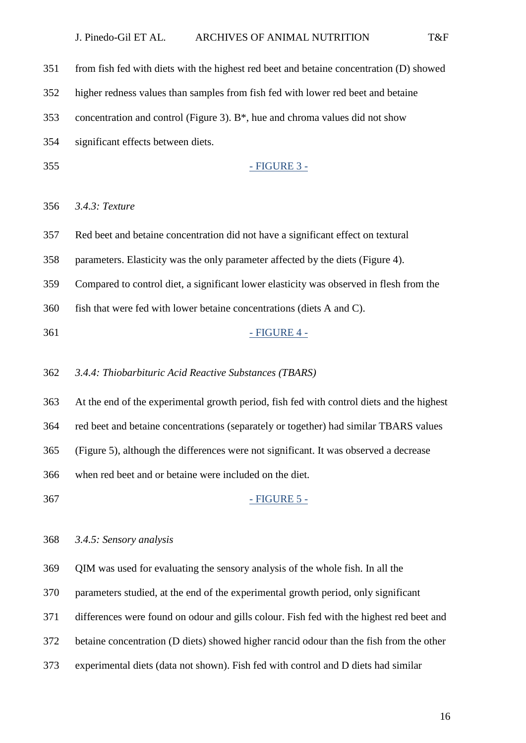| 351 | from fish fed with diets with the highest red beet and betaine concentration (D) showed   |
|-----|-------------------------------------------------------------------------------------------|
| 352 | higher redness values than samples from fish fed with lower red beet and betaine          |
| 353 | concentration and control (Figure 3). $B^*$ , hue and chroma values did not show          |
| 354 | significant effects between diets.                                                        |
| 355 | <u>- FIGURE 3 -</u>                                                                       |
|     |                                                                                           |
| 356 | 3.4.3: Texture                                                                            |
| 357 | Red beet and betaine concentration did not have a significant effect on textural          |
| 358 | parameters. Elasticity was the only parameter affected by the diets (Figure 4).           |
| 359 | Compared to control diet, a significant lower elasticity was observed in flesh from the   |
| 360 | fish that were fed with lower betaine concentrations (diets A and C).                     |
| 361 | <u>- FIGURE 4 -</u>                                                                       |
|     |                                                                                           |
| 362 | 3.4.4: Thiobarbituric Acid Reactive Substances (TBARS)                                    |
| 363 | At the end of the experimental growth period, fish fed with control diets and the highest |
| 364 | red beet and betaine concentrations (separately or together) had similar TBARS values     |
| 365 | (Figure 5), although the differences were not significant. It was observed a decrease     |
| 366 | when red beet and or betaine were included on the diet.                                   |
| 367 | <u>- FIGURE 5 -</u>                                                                       |
|     |                                                                                           |
| 368 | 3.4.5: Sensory analysis                                                                   |
| 369 | QIM was used for evaluating the sensory analysis of the whole fish. In all the            |
| 370 | parameters studied, at the end of the experimental growth period, only significant        |
| 371 | differences were found on odour and gills colour. Fish fed with the highest red beet and  |
| 372 | betaine concentration (D diets) showed higher rancid odour than the fish from the other   |

experimental diets (data not shown). Fish fed with control and D diets had similar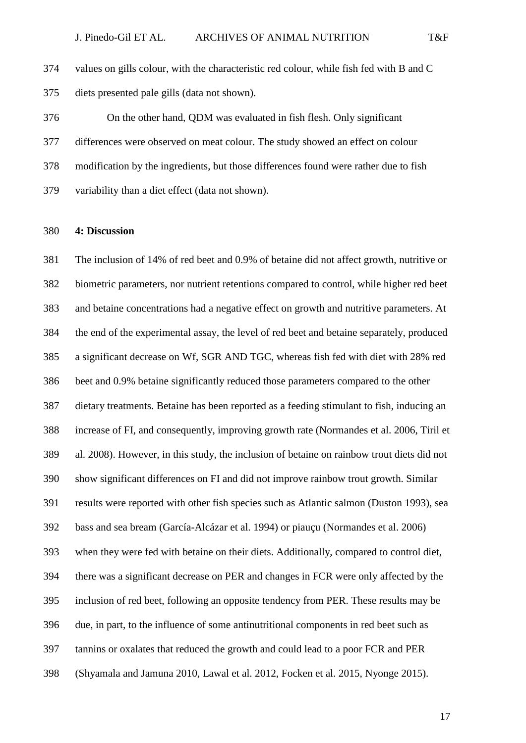values on gills colour, with the characteristic red colour, while fish fed with B and C diets presented pale gills (data not shown).

 On the other hand, QDM was evaluated in fish flesh. Only significant differences were observed on meat colour. The study showed an effect on colour modification by the ingredients, but those differences found were rather due to fish variability than a diet effect (data not shown).

### **4: Discussion**

 The inclusion of 14% of red beet and 0.9% of betaine did not affect growth, nutritive or biometric parameters, nor nutrient retentions compared to control, while higher red beet and betaine concentrations had a negative effect on growth and nutritive parameters. At the end of the experimental assay, the level of red beet and betaine separately, produced a significant decrease on Wf, SGR AND TGC, whereas fish fed with diet with 28% red beet and 0.9% betaine significantly reduced those parameters compared to the other dietary treatments. Betaine has been reported as a feeding stimulant to fish, inducing an increase of FI, and consequently, improving growth rate (Normandes et al. 2006, Tiril et al. 2008). However, in this study, the inclusion of betaine on rainbow trout diets did not show significant differences on FI and did not improve rainbow trout growth. Similar results were reported with other fish species such as Atlantic salmon (Duston 1993), sea bass and sea bream (García-Alcázar et al. 1994) or piauçu (Normandes et al. 2006) when they were fed with betaine on their diets. Additionally, compared to control diet, there was a significant decrease on PER and changes in FCR were only affected by the inclusion of red beet, following an opposite tendency from PER. These results may be due, in part, to the influence of some antinutritional components in red beet such as tannins or oxalates that reduced the growth and could lead to a poor FCR and PER (Shyamala and Jamuna 2010, Lawal et al. 2012, Focken et al. 2015, Nyonge 2015).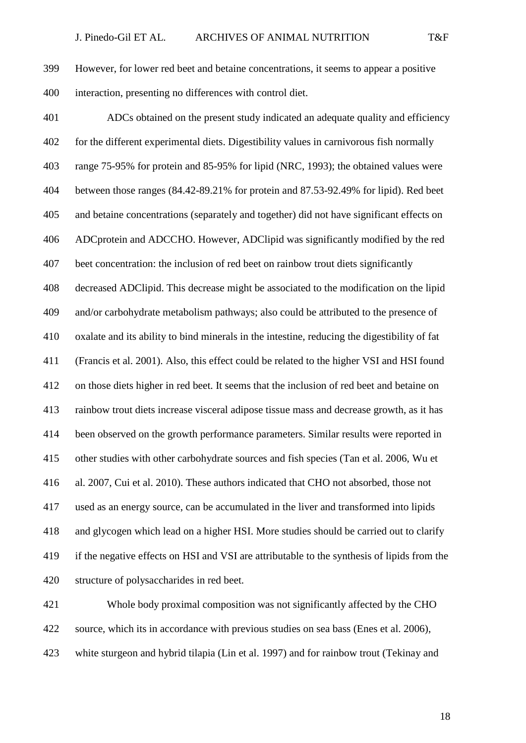However, for lower red beet and betaine concentrations, it seems to appear a positive interaction, presenting no differences with control diet.

 ADCs obtained on the present study indicated an adequate quality and efficiency for the different experimental diets. Digestibility values in carnivorous fish normally range 75-95% for protein and 85-95% for lipid (NRC, 1993); the obtained values were between those ranges (84.42-89.21% for protein and 87.53-92.49% for lipid). Red beet and betaine concentrations (separately and together) did not have significant effects on ADCprotein and ADCCHO. However, ADClipid was significantly modified by the red beet concentration: the inclusion of red beet on rainbow trout diets significantly decreased ADClipid. This decrease might be associated to the modification on the lipid and/or carbohydrate metabolism pathways; also could be attributed to the presence of oxalate and its ability to bind minerals in the intestine, reducing the digestibility of fat (Francis et al. 2001). Also, this effect could be related to the higher VSI and HSI found on those diets higher in red beet. It seems that the inclusion of red beet and betaine on rainbow trout diets increase visceral adipose tissue mass and decrease growth, as it has been observed on the growth performance parameters. Similar results were reported in other studies with other carbohydrate sources and fish species (Tan et al. 2006, Wu et al. 2007, Cui et al. 2010). These authors indicated that CHO not absorbed, those not used as an energy source, can be accumulated in the liver and transformed into lipids and glycogen which lead on a higher HSI. More studies should be carried out to clarify if the negative effects on HSI and VSI are attributable to the synthesis of lipids from the structure of polysaccharides in red beet.

 Whole body proximal composition was not significantly affected by the CHO source, which its in accordance with previous studies on sea bass (Enes et al. 2006), white sturgeon and hybrid tilapia (Lin et al. 1997) and for rainbow trout (Tekinay and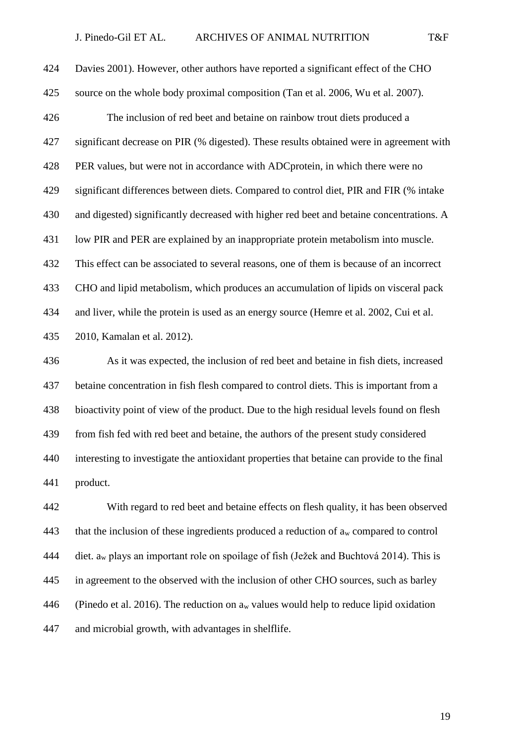Davies 2001). However, other authors have reported a significant effect of the CHO source on the whole body proximal composition (Tan et al. 2006, Wu et al. 2007). The inclusion of red beet and betaine on rainbow trout diets produced a significant decrease on PIR (% digested). These results obtained were in agreement with PER values, but were not in accordance with ADCprotein, in which there were no significant differences between diets. Compared to control diet, PIR and FIR (% intake and digested) significantly decreased with higher red beet and betaine concentrations. A low PIR and PER are explained by an inappropriate protein metabolism into muscle. This effect can be associated to several reasons, one of them is because of an incorrect CHO and lipid metabolism, which produces an accumulation of lipids on visceral pack and liver, while the protein is used as an energy source (Hemre et al. 2002, Cui et al. 2010, Kamalan et al. 2012).

 As it was expected, the inclusion of red beet and betaine in fish diets, increased betaine concentration in fish flesh compared to control diets. This is important from a bioactivity point of view of the product. Due to the high residual levels found on flesh from fish fed with red beet and betaine, the authors of the present study considered interesting to investigate the antioxidant properties that betaine can provide to the final product.

 With regard to red beet and betaine effects on flesh quality, it has been observed 443 that the inclusion of these ingredients produced a reduction of  $a_w$  compared to control diet. a<sup>w</sup> plays an important role on spoilage of fish (Ježek and Buchtová 2014). This is in agreement to the observed with the inclusion of other CHO sources, such as barley 446 (Pinedo et al. 2016). The reduction on  $a_w$  values would help to reduce lipid oxidation and microbial growth, with advantages in shelflife.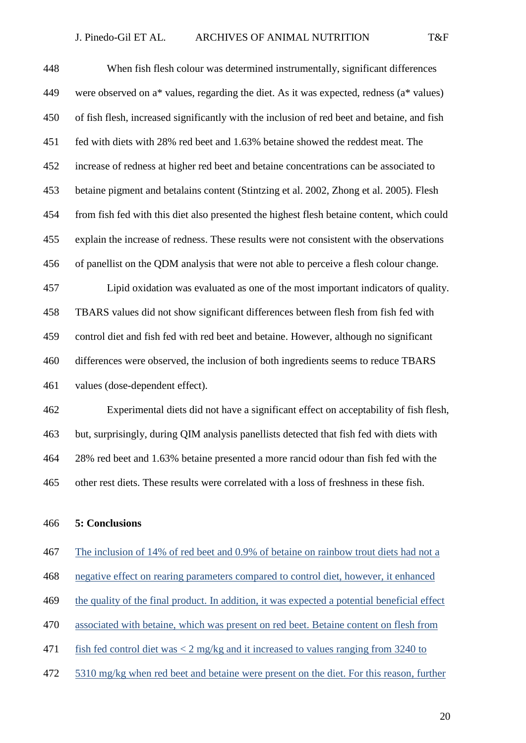When fish flesh colour was determined instrumentally, significant differences 449 were observed on  $a^*$  values, regarding the diet. As it was expected, redness  $(a^*$  values) of fish flesh, increased significantly with the inclusion of red beet and betaine, and fish fed with diets with 28% red beet and 1.63% betaine showed the reddest meat. The increase of redness at higher red beet and betaine concentrations can be associated to betaine pigment and betalains content (Stintzing et al. 2002, Zhong et al. 2005). Flesh from fish fed with this diet also presented the highest flesh betaine content, which could explain the increase of redness. These results were not consistent with the observations of panellist on the QDM analysis that were not able to perceive a flesh colour change. Lipid oxidation was evaluated as one of the most important indicators of quality. TBARS values did not show significant differences between flesh from fish fed with control diet and fish fed with red beet and betaine. However, although no significant

 differences were observed, the inclusion of both ingredients seems to reduce TBARS values (dose-dependent effect).

 Experimental diets did not have a significant effect on acceptability of fish flesh, but, surprisingly, during QIM analysis panellists detected that fish fed with diets with 28% red beet and 1.63% betaine presented a more rancid odour than fish fed with the other rest diets. These results were correlated with a loss of freshness in these fish.

### **5: Conclusions**

### The inclusion of 14% of red beet and 0.9% of betaine on rainbow trout diets had not a

- negative effect on rearing parameters compared to control diet, however, it enhanced
- the quality of the final product. In addition, it was expected a potential beneficial effect
- associated with betaine, which was present on red beet. Betaine content on flesh from
- fish fed control diet was < 2 mg/kg and it increased to values ranging from 3240 to
- 5310 mg/kg when red beet and betaine were present on the diet. For this reason, further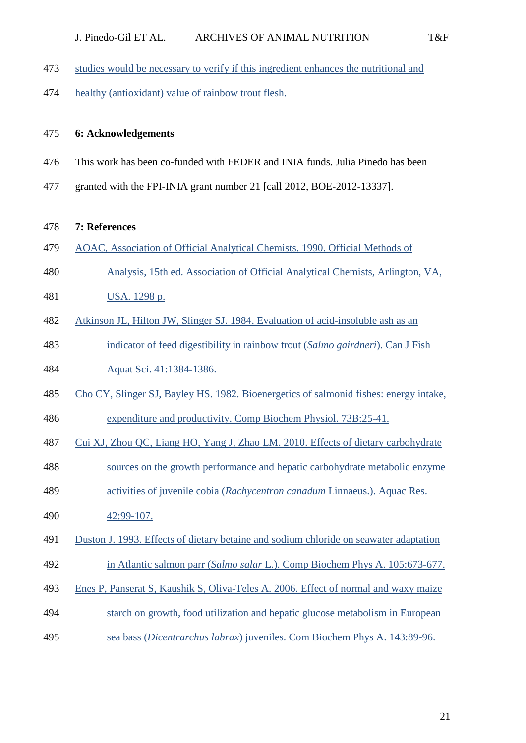- studies would be necessary to verify if this ingredient enhances the nutritional and
- healthy (antioxidant) value of rainbow trout flesh.

# **6: Acknowledgements**

- This work has been co-funded with FEDER and INIA funds. Julia Pinedo has been
- granted with the FPI-INIA grant number 21 [call 2012, BOE-2012-13337].

### **7: References**

- AOAC, Association of Official Analytical Chemists. 1990. Official Methods of
- Analysis, 15th ed. Association of Official Analytical Chemists, Arlington, VA,
- USA. 1298 p.
- Atkinson JL, Hilton JW, Slinger SJ. 1984. Evaluation of acid-insoluble ash as an
- indicator of feed digestibility in rainbow trout (*Salmo gairdneri*). Can J Fish
- Aquat Sci. 41:1384-1386.
- Cho CY, Slinger SJ, Bayley HS. 1982. Bioenergetics of salmonid fishes: energy intake,
- expenditure and productivity. Comp Biochem Physiol. 73B:25-41.
- Cui XJ, Zhou QC, Liang HO, Yang J, Zhao LM. 2010. Effects of dietary carbohydrate
- sources on the growth performance and hepatic carbohydrate metabolic enzyme
- activities of juvenile cobia (*Rachycentron canadum* Linnaeus.). Aquac Res.
- 42:99-107.
- Duston J. 1993. Effects of dietary betaine and sodium chloride on seawater adaptation
- in Atlantic salmon parr (*Salmo salar* L.). Comp Biochem Phys A. 105:673-677.
- Enes P, Panserat S, Kaushik S, Oliva-Teles A. 2006. Effect of normal and waxy maize
- starch on growth, food utilization and hepatic glucose metabolism in European
- sea bass (*Dicentrarchus labrax*) juveniles. Com Biochem Phys A. 143:89-96.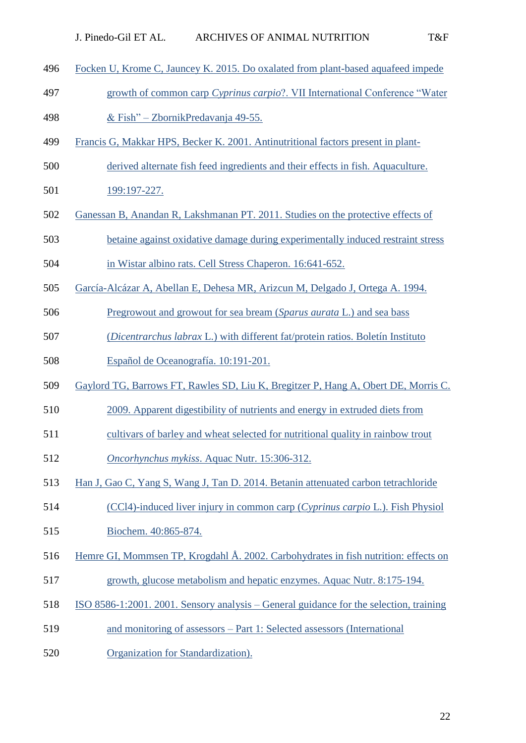- Focken U, Krome C, Jauncey K. 2015. Do oxalated from plant-based aquafeed impede
- growth of common carp *Cyprinus carpio*?. VII International Conference "Water & Fish" – ZbornikPredavanja 49-55.

- Francis G, Makkar HPS, Becker K. 2001. Antinutritional factors present in plant-
- derived alternate fish feed ingredients and their effects in fish. Aquaculture.
- 199:197-227.
- Ganessan B, Anandan R, Lakshmanan PT. 2011. Studies on the protective effects of
- betaine against oxidative damage during experimentally induced restraint stress
- in Wistar albino rats. Cell Stress Chaperon. 16:641-652.
- García-Alcázar A, Abellan E, Dehesa MR, Arizcun M, Delgado J, Ortega A. 1994.
- Pregrowout and growout for sea bream (*Sparus aurata* L.) and sea bass
- (*Dicentrarchus labrax* L.) with different fat/protein ratios. Boletín Instituto
- Español de Oceanografía. 10:191-201.
- Gaylord TG, Barrows FT, Rawles SD, Liu K, Bregitzer P, Hang A, Obert DE, Morris C.
- 2009. Apparent digestibility of nutrients and energy in extruded diets from
- cultivars of barley and wheat selected for nutritional quality in rainbow trout
- *Oncorhynchus mykiss*. Aquac Nutr. 15:306-312.
- Han J, Gao C, Yang S, Wang J, Tan D. 2014. Betanin attenuated carbon tetrachloride
- (CCl4)-induced liver injury in common carp (*Cyprinus carpio* L.). Fish Physiol Biochem. 40:865-874.
- Hemre GI, Mommsen TP, Krogdahl Å. 2002. Carbohydrates in fish nutrition: effects on
- growth, glucose metabolism and hepatic enzymes. Aquac Nutr. 8:175-194.
- ISO 8586-1:2001. 2001. Sensory analysis General guidance for the selection, training
- and monitoring of assessors Part 1: Selected assessors (International
- Organization for Standardization).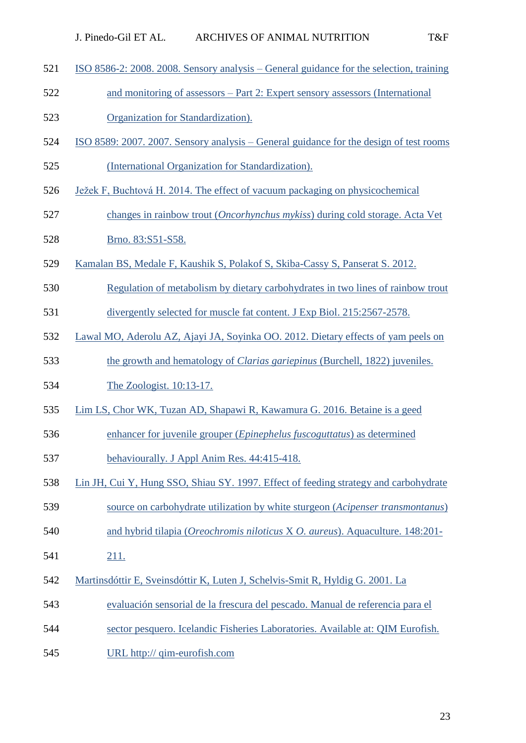- and monitoring of assessors Part 2: Expert sensory assessors (International
- Organization for Standardization).
- ISO 8589: 2007. 2007. Sensory analysis General guidance for the design of test rooms
- (International Organization for Standardization).
- Ježek F, Buchtová H. 2014. The effect of vacuum packaging on physicochemical
- changes in rainbow trout (*Oncorhynchus mykiss*) during cold storage. Acta Vet Brno. 83:S51-S58.
- Kamalan BS, Medale F, Kaushik S, Polakof S, Skiba-Cassy S, Panserat S. 2012.
- Regulation of metabolism by dietary carbohydrates in two lines of rainbow trout
- divergently selected for muscle fat content. J Exp Biol. 215:2567-2578.
- Lawal MO, Aderolu AZ, Ajayi JA, Soyinka OO. 2012. Dietary effects of yam peels on
- the growth and hematology of *Clarias gariepinus* (Burchell, 1822) juveniles.
- The Zoologist. 10:13-17.
- Lim LS, Chor WK, Tuzan AD, Shapawi R, Kawamura G. 2016. Betaine is a geed
- enhancer for juvenile grouper (*Epinephelus fuscoguttatus*) as determined
- behaviourally. J Appl Anim Res. 44:415-418.
- Lin JH, Cui Y, Hung SSO, Shiau SY. 1997. Effect of feeding strategy and carbohydrate
- source on carbohydrate utilization by white sturgeon (*Acipenser transmontanus*)
- and hybrid tilapia (*Oreochromis niloticus* X *O. aureus*). Aquaculture. 148:201-
- 211.
- Martinsdóttir E, Sveinsdóttir K, Luten J, Schelvis-Smit R, Hyldig G. 2001. La
- evaluación sensorial de la frescura del pescado. Manual de referencia para el
- sector pesquero. Icelandic Fisheries Laboratories. Available at: QIM Eurofish.
- URL http:// qim-eurofish.com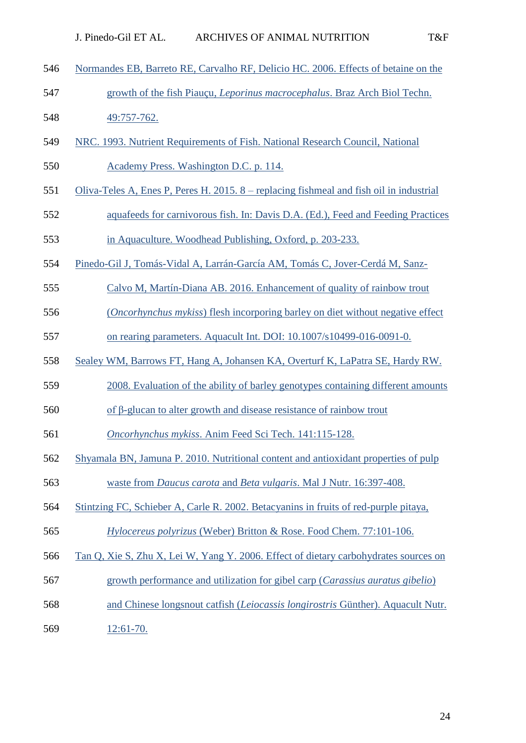Normandes EB, Barreto RE, Carvalho RF, Delicio HC. 2006. Effects of betaine on the

| 547 | growth of the fish Piauçu, Leporinus macrocephalus. Braz Arch Biol Techn.                |
|-----|------------------------------------------------------------------------------------------|
| 548 | 49:757-762.                                                                              |
| 549 | NRC. 1993. Nutrient Requirements of Fish. National Research Council, National            |
| 550 | Academy Press. Washington D.C. p. 114.                                                   |
| 551 | Oliva-Teles A, Enes P, Peres H. 2015. 8 – replacing fishmeal and fish oil in industrial  |
| 552 | aquafeeds for carnivorous fish. In: Davis D.A. (Ed.), Feed and Feeding Practices         |
| 553 | in Aquaculture. Woodhead Publishing, Oxford, p. 203-233.                                 |
| 554 | Pinedo-Gil J, Tomás-Vidal A, Larrán-García AM, Tomás C, Jover-Cerdá M, Sanz-             |
| 555 | Calvo M, Martín-Diana AB. 2016. Enhancement of quality of rainbow trout                  |
| 556 | ( <i>Oncorhynchus mykiss</i> ) flesh incorporing barley on diet without negative effect  |
| 557 | on rearing parameters. Aquacult Int. DOI: 10.1007/s10499-016-0091-0.                     |
| 558 | Sealey WM, Barrows FT, Hang A, Johansen KA, Overturf K, LaPatra SE, Hardy RW.            |
| 559 | 2008. Evaluation of the ability of barley genotypes containing different amounts         |
| 560 | $\frac{1}{2}$ of $\beta$ -glucan to alter growth and disease resistance of rainbow trout |
| 561 | Oncorhynchus mykiss. Anim Feed Sci Tech. 141:115-128.                                    |
| 562 | Shyamala BN, Jamuna P. 2010. Nutritional content and antioxidant properties of pulp      |
| 563 | waste from Daucus carota and Beta vulgaris. Mal J Nutr. 16:397-408.                      |
| 564 | Stintzing FC, Schieber A, Carle R. 2002. Betacyanins in fruits of red-purple pitaya,     |
| 565 | Hylocereus polyrizus (Weber) Britton & Rose. Food Chem. 77:101-106.                      |
| 566 | Tan Q, Xie S, Zhu X, Lei W, Yang Y. 2006. Effect of dietary carbohydrates sources on     |
| 567 | growth performance and utilization for gibel carp (Carassius auratus gibelio)            |
| 568 | and Chinese longsnout catfish <i>(Leiocassis longirostris</i> Günther). Aquacult Nutr.   |
| 569 | $12:61-70.$                                                                              |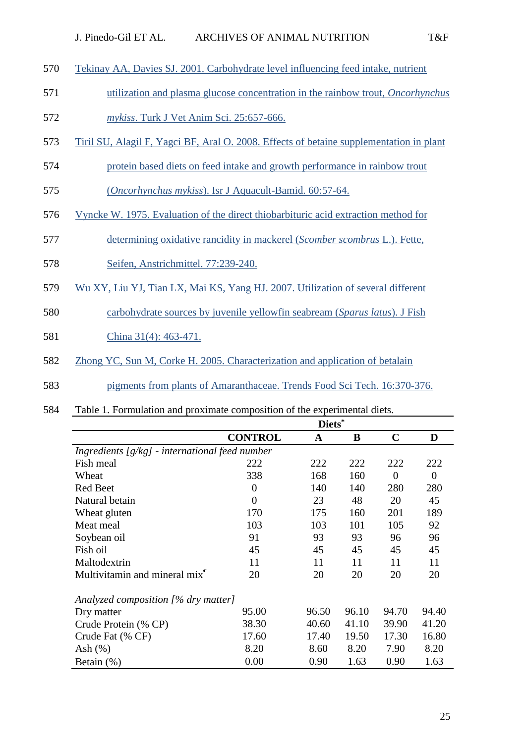- 570 Tekinay AA, Davies SJ. 2001. Carbohydrate level influencing feed intake, nutrient
- 571 utilization and plasma glucose concentration in the rainbow trout, *Oncorhynchus*
- 572 *mykiss*. Turk J Vet Anim Sci. 25:657-666.
- 573 Tiril SU, Alagil F, Yagci BF, Aral O. 2008. Effects of betaine supplementation in plant
- 574 protein based diets on feed intake and growth performance in rainbow trout
- 575 (*Oncorhynchus mykiss*). Isr J Aquacult-Bamid. 60:57-64.
- 576 Vyncke W. 1975. Evaluation of the direct thiobarbituric acid extraction method for
- 577 determining oxidative rancidity in mackerel (*Scomber scombrus* L.). Fette,
- 578 Seifen, Anstrichmittel. 77:239-240.
- 579 Wu XY, Liu YJ, Tian LX, Mai KS, Yang HJ. 2007. Utilization of several different
- 580 carbohydrate sources by juvenile yellowfin seabream (*Sparus latus*). J Fish
- 581 China 31(4): 463-471.
- 582 Zhong YC, Sun M, Corke H. 2005. Characterization and application of betalain
- 583 pigments from plants of Amaranthaceae. Trends Food Sci Tech. 16:370-376.
- 584 Table 1. Formulation and proximate composition of the experimental diets.

|                                                  |                | Diets* |       |             |          |
|--------------------------------------------------|----------------|--------|-------|-------------|----------|
|                                                  | <b>CONTROL</b> | A      | B     | $\mathbf C$ | D        |
| Ingredients $[g/kg]$ - international feed number |                |        |       |             |          |
| Fish meal                                        | 222            | 222    | 222   | 222         | 222      |
| Wheat                                            | 338            | 168    | 160   | $\theta$    | $\Omega$ |
| <b>Red Beet</b>                                  | 0              | 140    | 140   | 280         | 280      |
| Natural betain                                   | $\overline{0}$ | 23     | 48    | 20          | 45       |
| Wheat gluten                                     | 170            | 175    | 160   | 201         | 189      |
| Meat meal                                        | 103            | 103    | 101   | 105         | 92       |
| Soybean oil                                      | 91             | 93     | 93    | 96          | 96       |
| Fish oil                                         | 45             | 45     | 45    | 45          | 45       |
| Maltodextrin                                     | 11             | 11     | 11    | 11          | 11       |
| Multivitamin and mineral mix <sup>1</sup>        | 20             | 20     | 20    | 20          | 20       |
| Analyzed composition $[%$ dry matter]            |                |        |       |             |          |
| Dry matter                                       | 95.00          | 96.50  | 96.10 | 94.70       | 94.40    |
| Crude Protein (% CP)                             | 38.30          | 40.60  | 41.10 | 39.90       | 41.20    |
| Crude Fat (% CF)                                 | 17.60          | 17.40  | 19.50 | 17.30       | 16.80    |
| Ash $(\%)$                                       | 8.20           | 8.60   | 8.20  | 7.90        | 8.20     |
| Betain $(\%)$                                    | 0.00           | 0.90   | 1.63  | 0.90        | 1.63     |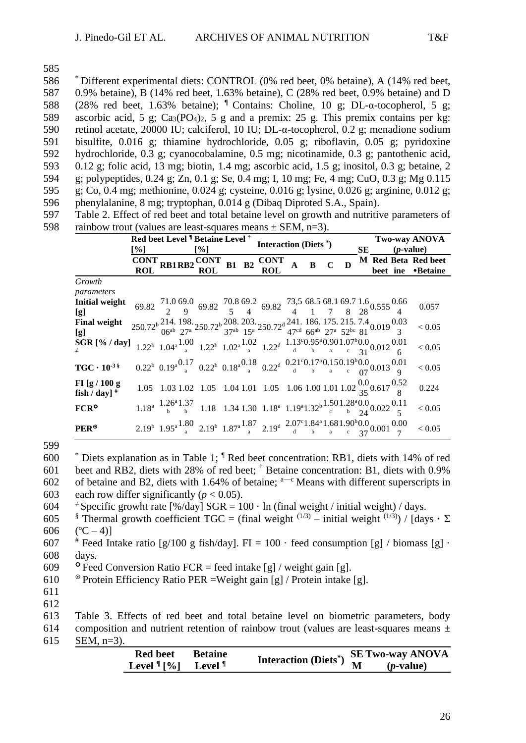| 585 |                                                                                                      |
|-----|------------------------------------------------------------------------------------------------------|
| 586 | $*$ Different experimental diets: CONTROL (0% red beet, 0% betaine), A (14% red beet,                |
| 587 | 0.9% betaine), B (14% red beet, 1.63% betaine), C (28% red beet, 0.9% betaine) and D                 |
| 588 | (28% red beet, 1.63% betaine); $\frac{1}{2}$ Contains: Choline, 10 g; DL- $\alpha$ -tocopherol, 5 g; |
| 589 | ascorbic acid, 5 g; $Ca_3(PO_4)_2$ , 5 g and a premix: 25 g. This premix contains per kg:            |
| 590 | retinol acetate, 20000 IU; calciferol, 10 IU; DL-α-tocopherol, 0.2 g; menadione sodium               |
| 591 | bisulfite, $0.016$ g; thiamine hydrochloride, $0.05$ g; riboflavin, $0.05$ g; pyridoxine             |
| 592 | hydrochloride, 0.3 g; cyanocobalamine, 0.5 mg; nicotinamide, 0.3 g; pantothenic acid,                |
| 593 | $0.12$ g; folic acid, 13 mg; biotin, 1.4 mg; ascorbic acid, 1.5 g; inositol, 0.3 g; betaine, 2       |
| 594 | g; polypeptides, 0.24 g; Zn, 0.1 g; Se, 0.4 mg; I, 10 mg; Fe, 4 mg; CuO, 0.3 g; Mg 0.115             |
| 595 | g; Co, 0.4 mg; methionine, 0.024 g; cysteine, 0.016 g; lysine, 0.026 g; arginine, 0.012 g;           |
| 596 | phenylalanine, 8 mg; tryptophan, 0.014 g (Dibaq Diproted S.A., Spain).                               |
|     |                                                                                                      |

|     | ______________                                                                            |  |
|-----|-------------------------------------------------------------------------------------------|--|
| 598 | rainbow trout (values are least-squares means $\pm$ SEM, n=3).                            |  |
| 597 | Table 2. Effect of red beet and total betaine level on growth and nutritive parameters of |  |

|                                                                                                                       |                                                                                                                                                                                                                                                                                                                                                                                                                                                                                                                                                                                                              | Red beet Level <i>I</i> Betaine Level <sup>†</sup>                                                                                                                                                                                                             |                    |  | <b>Interaction (Diets</b> <sup>*</sup> ) |            |           | Two-way ANOVA |              |   |                   |  |  |                     |
|-----------------------------------------------------------------------------------------------------------------------|--------------------------------------------------------------------------------------------------------------------------------------------------------------------------------------------------------------------------------------------------------------------------------------------------------------------------------------------------------------------------------------------------------------------------------------------------------------------------------------------------------------------------------------------------------------------------------------------------------------|----------------------------------------------------------------------------------------------------------------------------------------------------------------------------------------------------------------------------------------------------------------|--------------------|--|------------------------------------------|------------|-----------|---------------|--------------|---|-------------------|--|--|---------------------|
|                                                                                                                       | $[%] % \begin{center} \includegraphics[width=0.65\textwidth]{Figures/PN-Architecture.png} \end{center} \caption{The average number of times on the number of times, and the average number of times on the number of times.} \label{fig:PSB}$                                                                                                                                                                                                                                                                                                                                                                |                                                                                                                                                                                                                                                                | $\lceil \% \rceil$ |  |                                          |            |           |               |              |   | SE<br>$(p-value)$ |  |  |                     |
|                                                                                                                       |                                                                                                                                                                                                                                                                                                                                                                                                                                                                                                                                                                                                              | $\frac{\text{CONT}}{\text{NOT}}$ RB1RB2 CONT B1 B2 CONT                                                                                                                                                                                                        |                    |  |                                          |            | ${\bf A}$ | $\, {\bf B}$  | $\mathbf{C}$ | D |                   |  |  | M Red Beta Red beet |
|                                                                                                                       | <b>ROL</b>                                                                                                                                                                                                                                                                                                                                                                                                                                                                                                                                                                                                   |                                                                                                                                                                                                                                                                | <b>ROL</b>         |  |                                          | <b>ROL</b> |           |               |              |   |                   |  |  | beet ine •Betaine   |
| Growth<br>parameters                                                                                                  |                                                                                                                                                                                                                                                                                                                                                                                                                                                                                                                                                                                                              |                                                                                                                                                                                                                                                                |                    |  |                                          |            |           |               |              |   |                   |  |  |                     |
| <b>Initial weight</b>                                                                                                 |                                                                                                                                                                                                                                                                                                                                                                                                                                                                                                                                                                                                              |                                                                                                                                                                                                                                                                |                    |  |                                          |            |           |               |              |   |                   |  |  |                     |
| [g]                                                                                                                   |                                                                                                                                                                                                                                                                                                                                                                                                                                                                                                                                                                                                              | $69.82 \begin{array}{l} 71.0\ 69.0 \\ 2 \end{array} \ 69.82 \begin{array}{l} 70.8\ 69.2 \\ 5 \end{array} \ 69.82 \begin{array}{l} 73.5\ 68.5\ 68.1\ 69.7\ 1.6 \\ 4 \end{array} \ 1.60.555 \begin{array}{l} 0.66 \\ 4 \end{array}$                              |                    |  |                                          |            |           |               |              |   |                   |  |  | 0.057               |
| <b>Final weight</b>                                                                                                   |                                                                                                                                                                                                                                                                                                                                                                                                                                                                                                                                                                                                              | $250.72^{\text{b}}\frac{214.198}{06^{\text{ab}}}$ $27^{\text{a}}$ $250.72^{\text{b}}\frac{208.203}{37^{\text{ab}}}$ $250.72^{\text{d}}\frac{241.186.175.215.7.4}{47^{\text{cd}}}$ $66^{\text{ab}}$ $27^{\text{a}}$ $52^{\text{bc}}$ $81^{0.019}\frac{0.03}{3}$ |                    |  |                                          |            |           |               |              |   |                   |  |  | < 0.05              |
| [g]                                                                                                                   |                                                                                                                                                                                                                                                                                                                                                                                                                                                                                                                                                                                                              |                                                                                                                                                                                                                                                                |                    |  |                                          |            |           |               |              |   |                   |  |  |                     |
| SGR [% / day]                                                                                                         |                                                                                                                                                                                                                                                                                                                                                                                                                                                                                                                                                                                                              | 1.22 <sup>b</sup> 1.04 <sup>a</sup> <sup>1.00</sup> 1.22 <sup>b</sup> 1.02 <sup>a</sup> 1.02 <sup>a</sup> 1.22 <sup>d</sup> 1.13 <sup>c</sup> 0.95 <sup>a</sup> 0.901.07 <sup>b</sup> 0.0 <sub>0</sub> 0.012 <sup>0.01</sup> 6                                 |                    |  |                                          |            |           |               |              |   |                   |  |  | < 0.05              |
| $TGC \cdot 10^{-3}$                                                                                                   |                                                                                                                                                                                                                                                                                                                                                                                                                                                                                                                                                                                                              | $0.22^b$ $0.19^a$ $\frac{0.17}{a}$ $0.22^b$ $0.18^a$ $\frac{0.18}{a}$ $0.22^d$ $\frac{0.21^c 0.17^a 0.150.19^b 0.0}{b}$ $\frac{0.013}{c}$ $\frac{0.013}{07}$                                                                                                   |                    |  |                                          |            |           |               |              |   |                   |  |  | < 0.05              |
| FI [g $/ 100 g$<br>fish / day] $#$                                                                                    |                                                                                                                                                                                                                                                                                                                                                                                                                                                                                                                                                                                                              | 1.05 1.03 1.02 1.05 1.04 1.01 1.05 1.06 1.00 1.01 1.02 $\frac{0.0}{35}$ 0.617 $\frac{0.52}{8}$                                                                                                                                                                 |                    |  |                                          |            |           |               |              |   |                   |  |  | 0.224               |
| <b>FCR<sup>o</sup></b>                                                                                                |                                                                                                                                                                                                                                                                                                                                                                                                                                                                                                                                                                                                              | $1.18^a \text{ }^{1.26^a1.37}_{b}$ 1.18 1.34 1.30 1.18 <sup>a</sup> 1.19 <sup>a</sup> 1.32 <sup>b1.501.28<sup>a</sup>0.0<sub>b</sub> 24 0.022 <math>\frac{0.11}{5}</math></sup>                                                                                |                    |  |                                          |            |           |               |              |   |                   |  |  | < 0.05              |
| <b>PER<sup>®</sup></b>                                                                                                |                                                                                                                                                                                                                                                                                                                                                                                                                                                                                                                                                                                                              | 2.19 <sup>b</sup> 1.95 <sup>a</sup> <sup>1.80</sup> 2.19 <sup>b</sup> 1.87 <sup>a</sup> <sup>1.87</sup> <sub>a</sub> 2.19 <sup>d</sup> <sup>2.07°</sup> 1.84 <sup>a</sup> 1.681.90 <sup>b</sup> 0.0 <sub>0</sub> 0.001 <sup>0.00</sup>                         |                    |  |                                          |            |           |               |              |   |                   |  |  | < 0.05              |
| 599<br>600<br>601<br>602<br>603<br>604<br>605<br>606<br>$(^{\circ}C - 4)]$                                            | * Diets explanation as in Table 1; $\mathbb{I}$ Red beet concentration: RB1, diets with 14% of red<br>beet and RB2, diets with 28% of red beet; <sup>†</sup> Betaine concentration: B1, diets with 0.9%<br>of betaine and B2, diets with 1.64% of betaine; $a^{-c}$ Means with different superscripts in<br>each row differ significantly ( $p < 0.05$ ).<br><sup><math>\neq</math></sup> Specific growht rate [%/day] SGR = 100 · ln (final weight / initial weight) / days.<br><sup>§</sup> Thermal growth coefficient TGC = (final weight $^{(1/3)}$ – initial weight $^{(1/3)}$ ) / [days $\cdot \Sigma$ |                                                                                                                                                                                                                                                                |                    |  |                                          |            |           |               |              |   |                   |  |  |                     |
| 607<br><sup>#</sup> Feed Intake ratio [g/100 g fish/day]. FI = 100 $\cdot$ feed consumption [g] / biomass [g] $\cdot$ |                                                                                                                                                                                                                                                                                                                                                                                                                                                                                                                                                                                                              |                                                                                                                                                                                                                                                                |                    |  |                                          |            |           |               |              |   |                   |  |  |                     |
| 608<br>days.                                                                                                          |                                                                                                                                                                                                                                                                                                                                                                                                                                                                                                                                                                                                              |                                                                                                                                                                                                                                                                |                    |  |                                          |            |           |               |              |   |                   |  |  |                     |
| 609<br>$\circ$ Feed Conversion Ratio FCR = feed intake [g] / weight gain [g].                                         |                                                                                                                                                                                                                                                                                                                                                                                                                                                                                                                                                                                                              |                                                                                                                                                                                                                                                                |                    |  |                                          |            |           |               |              |   |                   |  |  |                     |
| <sup>o</sup> Protein Efficiency Ratio PER = Weight gain [g] / Protein intake [g].<br>610                              |                                                                                                                                                                                                                                                                                                                                                                                                                                                                                                                                                                                                              |                                                                                                                                                                                                                                                                |                    |  |                                          |            |           |               |              |   |                   |  |  |                     |
| 611                                                                                                                   |                                                                                                                                                                                                                                                                                                                                                                                                                                                                                                                                                                                                              |                                                                                                                                                                                                                                                                |                    |  |                                          |            |           |               |              |   |                   |  |  |                     |
| 612                                                                                                                   |                                                                                                                                                                                                                                                                                                                                                                                                                                                                                                                                                                                                              |                                                                                                                                                                                                                                                                |                    |  |                                          |            |           |               |              |   |                   |  |  |                     |
| 613<br>Table 3. Effects of red beet and total betaine level on biometric parameters, body                             |                                                                                                                                                                                                                                                                                                                                                                                                                                                                                                                                                                                                              |                                                                                                                                                                                                                                                                |                    |  |                                          |            |           |               |              |   |                   |  |  |                     |
| 614<br>composition and nutrient retention of rainbow trout (values are least-squares means $\pm$                      |                                                                                                                                                                                                                                                                                                                                                                                                                                                                                                                                                                                                              |                                                                                                                                                                                                                                                                |                    |  |                                          |            |           |               |              |   |                   |  |  |                     |

615 SEM, n=3).

| <b>Red beet</b>           | <b>Betaine</b> | <b>Interaction (Diets*)</b> | <b>SE Two-way ANOVA</b> |             |  |  |  |
|---------------------------|----------------|-----------------------------|-------------------------|-------------|--|--|--|
| Level $\P$ [%] Level $\P$ |                |                             | M                       | $(p-value)$ |  |  |  |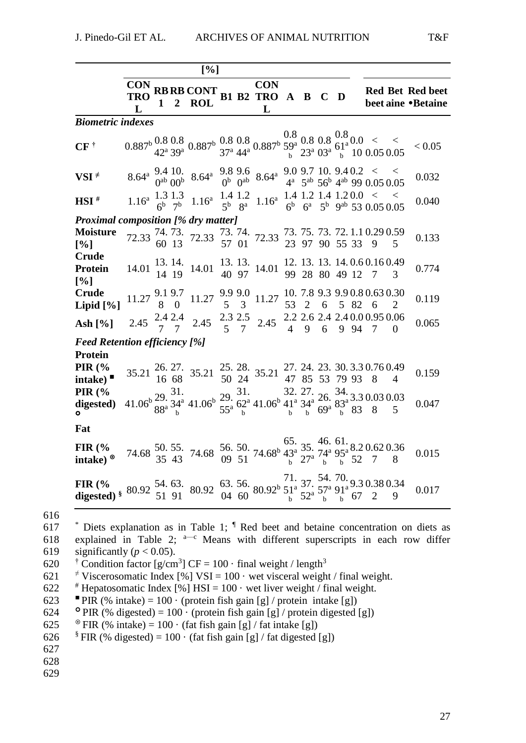|                                                                                                                                                                                                                    |   |  | [%]                                                                                                                                                                                                                                                                                                                                                                                                       |  |   |  |  |  |                                               |
|--------------------------------------------------------------------------------------------------------------------------------------------------------------------------------------------------------------------|---|--|-----------------------------------------------------------------------------------------------------------------------------------------------------------------------------------------------------------------------------------------------------------------------------------------------------------------------------------------------------------------------------------------------------------|--|---|--|--|--|-----------------------------------------------|
|                                                                                                                                                                                                                    | L |  | $\overline{\text{CON}}$ RB RB CONT B1 B2 TRO A B C D                                                                                                                                                                                                                                                                                                                                                      |  | L |  |  |  | <b>Red Bet Red beet</b><br>beet aine •Betaine |
| <b>Biometric indexes</b>                                                                                                                                                                                           |   |  |                                                                                                                                                                                                                                                                                                                                                                                                           |  |   |  |  |  |                                               |
| $CF^{\dagger}$                                                                                                                                                                                                     |   |  | $0.887^{\mathrm{b}}\, \frac{0.8}{42^{\mathrm{a}}\, 39^{\mathrm{a}}}\, 0.887^{\mathrm{b}}\, \frac{0.8}{37^{\mathrm{a}}\, 44^{\mathrm{a}}}\, 0.887^{\mathrm{b}}\, \frac{0.8}{59^{\mathrm{a}}}\, \frac{0.8}{23^{\mathrm{a}}\, 03^{\mathrm{a}}}\, \frac{0.8}{61^{\mathrm{a}}}\, 0.0 < \ < \ 0.05\, 0.05$                                                                                                      |  |   |  |  |  | < 0.05                                        |
| $VSI \neq$                                                                                                                                                                                                         |   |  | $8.64^a$ $\frac{9.4}{0^{ab}}$ $\frac{10}{0^{b}}$ $8.64^a$ $\frac{9.8}{0^{b}}$ $\frac{9.6}{0^{ab}}$ $8.64^a$ $\frac{9.0}{4^{a}}$ $\frac{9.7}{5^{ab}}$ $\frac{10}{5^{c}}$ $\frac{9.4}{4^{b}}$ $\frac{0.2}{99}$ $\frac{0.2}{0.05}$ $\frac{0.5}{0.05}$                                                                                                                                                        |  |   |  |  |  | 0.032                                         |
| $HSI$ <sup>#</sup>                                                                                                                                                                                                 |   |  | 1.16 <sup>a</sup> $\frac{1.3}{6}$ $\frac{1.3}{7}$ 1.16 <sup>a</sup> $\frac{1.4}{5}$ 1.2<br>1.16 <sup>a</sup> $\frac{1.4}{6}$ 1.16 <sup>a</sup> $\frac{1.4}{6}$ 1.2<br>1.4<br>1.2<br>1.4<br>1.2<br>1.2<br>1.4<br>1.2<br>0.0<br>5<br>0.0<br>5                                                                                                                                                               |  |   |  |  |  | 0.040                                         |
| <b>Proximal composition [% dry matter]</b>                                                                                                                                                                         |   |  |                                                                                                                                                                                                                                                                                                                                                                                                           |  |   |  |  |  |                                               |
| <b>Moisture</b><br>[%]                                                                                                                                                                                             |   |  | 72.33 74.73. 72.33 73.74. 72.33 73.75.73.72.1.10.290.59<br>72.33 60 13 72.33 57 01 72.33 23 97 90 55 33 9 5                                                                                                                                                                                                                                                                                               |  |   |  |  |  | 0.133                                         |
| Crude<br>Protein<br>[%]                                                                                                                                                                                            |   |  | $14.01 \begin{array}{l} 13.14. \\ 14.19 \end{array}$ 14.01 $\begin{array}{l} 13.13. \\ 40.97 \end{array}$ 14.01 $\begin{array}{l} 12.13.13.14.0.6 \times 0.16 \times 0.49 \\ 99.28 \times 80.49 \times 12.7 \end{array}$                                                                                                                                                                                  |  |   |  |  |  | 0.774                                         |
| <b>Crude</b><br>Lipid [%]                                                                                                                                                                                          |   |  | $11.27 \begin{array}{c} 9.19.7 \\ 8 \end{array} \begin{array}{c} 11.27 \end{array} \begin{array}{c} 9.99.0 \\ 5 \end{array} \begin{array}{c} 11.27 \end{array} \begin{array}{c} 10.7.89.39.90.80.630.30 \\ 53 \end{array} \begin{array}{c} 26 \end{array}$                                                                                                                                                |  |   |  |  |  | 0.119                                         |
| Ash $\lceil\% \rceil$                                                                                                                                                                                              |   |  | 2.45 $\frac{2.4}{7}$ $\frac{2.4}{7}$ 2.45 $\frac{2.3}{5}$ $\frac{2.5}{7}$ 2.45 $\frac{2.2}{4}$ 2.6 2.4 2.4 0.0 0.95 0.06                                                                                                                                                                                                                                                                                  |  |   |  |  |  | 0.065                                         |
| <b>Feed Retention efficiency [%]</b>                                                                                                                                                                               |   |  |                                                                                                                                                                                                                                                                                                                                                                                                           |  |   |  |  |  |                                               |
| Protein<br><b>PIR</b> $\frac{6}{6}$<br>intake) $\blacksquare$                                                                                                                                                      |   |  | 35.21    26.27. 35.21    25.28. 35.21    27.24.23.30.3.30.760.49<br>16    68    35.21    50    24    35.21    47    85    53    79    93    8    4                                                                                                                                                                                                                                                        |  |   |  |  |  | 0.159                                         |
| <b>PIR</b> $\frac{6}{6}$<br>digested)                                                                                                                                                                              |   |  | $41.06^{\mathrm{b}}\,\frac{29}{88^{\mathrm{a}}}\,\frac{31}{34^{\mathrm{a}}}\,\frac{41.06^{\mathrm{b}}}{55^{\mathrm{a}}}\,\frac{29}{62^{\mathrm{a}}}\,\frac{31}{41.06^{\mathrm{b}}}\,\frac{32}{41^{\mathrm{a}}}\,\frac{27}{34^{\mathrm{a}}}\,\frac{36}{69^{\mathrm{a}}}\,\frac{34}{83^{\mathrm{a}}}\,\frac{3.3}{3}\,\frac{0.03}{8}\,\frac{0.03}{8}\,\frac{0.03}{8}\,\frac{0.03}{8}\,\frac{0.03}{8}\,\frac$ |  |   |  |  |  | 0.047                                         |
| Fat                                                                                                                                                                                                                |   |  |                                                                                                                                                                                                                                                                                                                                                                                                           |  |   |  |  |  |                                               |
| <b>FIR</b> (% 74.68 50. 55. 74.68 56. 50. 74.68 $\frac{65}{43}$ , $\frac{35}{27}$ , $\frac{46}{b}$ , $\frac{61}{25}$ , $\frac{20.62}{10.36}$ 0.015                                                                 |   |  |                                                                                                                                                                                                                                                                                                                                                                                                           |  |   |  |  |  |                                               |
| <b>FIR</b> (% 80.92 54.63. 80.92 63.56. 80.92 <sup>b</sup> 51 <sup>a</sup> 37. 54.70. 9.3 0.38 0.34 digested) <sup>§</sup> 80.92 51 91 80.92 $\frac{71}{6}$ 52 <sup>a</sup> 57 <sup>a</sup> 91 <sup>a</sup> 67 2 9 |   |  |                                                                                                                                                                                                                                                                                                                                                                                                           |  |   |  |  |  | 0.017                                         |

622  $*$  Hepatosomatic Index [%] HSI = 100  $\cdot$  wet liver weight / final weight.

623 PIR (% intake) =  $100 \cdot$  (protein fish gain [g] / protein intake [g])

624 **PIR** (% digested) =  $100 \cdot$  (protein fish gain [g] / protein digested [g])

625 ° FIR (% intake) = 100 · (fat fish gain [g] / fat intake [g])

627 628

616<br>617

619

620

<sup>626 &</sup>lt;sup>§</sup> FIR (% digested) = 100 · (fat fish gain [g] / fat digested [g])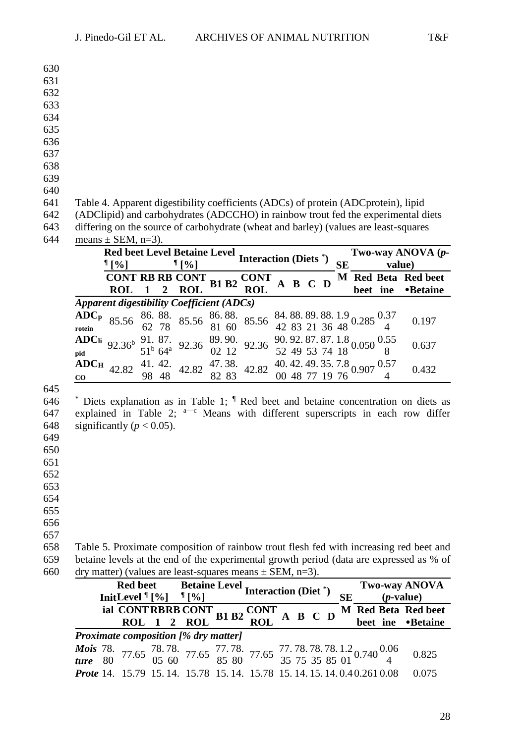|                             | Table 4. Apparent digestibility coefficients (ADCs) of protein (ADCprotein), lipid                                                                                                                                                                |                 |                                |                                      |                                      |                              |           |     |       |   |           |                                                                                        |          |                                      |
|-----------------------------|---------------------------------------------------------------------------------------------------------------------------------------------------------------------------------------------------------------------------------------------------|-----------------|--------------------------------|--------------------------------------|--------------------------------------|------------------------------|-----------|-----|-------|---|-----------|----------------------------------------------------------------------------------------|----------|--------------------------------------|
|                             | (ADClipid) and carbohydrates (ADCCHO) in rainbow trout fed the experimental diets                                                                                                                                                                 |                 |                                |                                      |                                      |                              |           |     |       |   |           |                                                                                        |          |                                      |
|                             | differing on the source of carbohydrate (wheat and barley) (values are least-squares                                                                                                                                                              |                 |                                |                                      |                                      |                              |           |     |       |   |           |                                                                                        |          |                                      |
|                             | means $\pm$ SEM, n=3).<br><b>Red beet Level Betaine Level</b>                                                                                                                                                                                     |                 |                                |                                      |                                      |                              |           |     |       |   |           |                                                                                        |          | Two-way ANOVA (p-                    |
|                             | $\P[%]$                                                                                                                                                                                                                                           |                 |                                | $\P[%]$                              |                                      | <b>Interaction (Diets *)</b> |           |     |       |   | SE        |                                                                                        |          | value)                               |
|                             | <b>ROL</b>                                                                                                                                                                                                                                        |                 | $\overline{2}$                 | <b>CONT RB RB CONT</b><br><b>ROL</b> | <b>B1 B2</b>                         | <b>CONT</b><br><b>ROL</b>    | ${\bf A}$ | B C |       | D |           | M Red Beta Red beet<br>beet ine                                                        |          | <b>•Betaine</b>                      |
|                             | <b>Apparent digestibility Coefficient (ADCs)</b>                                                                                                                                                                                                  |                 |                                |                                      |                                      |                              |           |     |       |   |           |                                                                                        |          |                                      |
| ADC <sub>p</sub>            | 85.56                                                                                                                                                                                                                                             |                 | 86. 88.                        | 85.56                                | 86.88.                               | 85.56                        |           |     |       |   |           | $\begin{array}{rrrr} 84.88.89.88.1.9& 0.285& 0.37\\ 42& 83& 21& 36& 48& 4 \end{array}$ |          | 0.197                                |
| rotein<br>ADC <sub>li</sub> |                                                                                                                                                                                                                                                   | 62              | 78                             |                                      | 81 60                                |                              |           |     |       |   |           |                                                                                        |          |                                      |
| pid                         | 92.36 <sup>b</sup> 91. 87.<br>51 <sup>b</sup> 64 <sup>a</sup>                                                                                                                                                                                     |                 |                                |                                      | 92.36 $\frac{89.90}{02.32}$<br>02 12 | 92.36                        |           |     |       |   |           | 90. 92. 87. 87. 1.8<br>52 49 53 74 18<br>$0.050\,\frac{0.55}{8}$                       |          | 0.637                                |
| $ADC_H$                     | 42.82                                                                                                                                                                                                                                             |                 | 41. 42.                        | 42.82                                | 47.38.                               | 42.82                        |           |     |       |   |           | 40.42.49.35.7.8<br>00 48 77 19 76 0.907 4                                              |          | 0.432                                |
| $\bf CO$                    |                                                                                                                                                                                                                                                   | 98              | 48                             |                                      | 82 83                                |                              |           |     |       |   |           |                                                                                        |          |                                      |
|                             | explained in Table 2; $a-c$ Means with different superscripts in each row differ                                                                                                                                                                  |                 |                                |                                      |                                      |                              |           |     |       |   |           |                                                                                        |          |                                      |
|                             | significantly ( $p < 0.05$ ).                                                                                                                                                                                                                     |                 |                                |                                      |                                      |                              |           |     |       |   |           |                                                                                        |          |                                      |
|                             | Table 5. Proximate composition of rainbow trout flesh fed with increasing red beet and<br>betaine levels at the end of the experimental growth period (data are expressed as % of<br>dry matter) (values are least-squares means $\pm$ SEM, n=3). |                 |                                |                                      |                                      |                              |           |     |       |   |           |                                                                                        |          |                                      |
|                             | InitLevel $\P$ [%]                                                                                                                                                                                                                                | <b>Red beet</b> |                                | $\P$ [%]                             | <b>Betaine Level</b>                 | <b>Interaction (Diet*)</b>   |           |     |       |   | <b>SE</b> |                                                                                        |          | <b>Two-way ANOVA</b><br>$(p$ -value) |
|                             | ial CONTRBRB CONT<br><b>ROL</b>                                                                                                                                                                                                                   |                 | $\mathbf{1}$<br>$\overline{2}$ | <b>ROL</b>                           | <b>B1 B2</b>                         | <b>CONT</b><br><b>ROL</b>    | ${\bf A}$ |     | B C D |   |           | <b>M</b> Red Beta Red beet                                                             | beet ine | •Betaine                             |

**Prote** 14. 15.79 15.14. 15.78 15.14. 15.78 15.14.15.14.0.40.261 0.08 0.075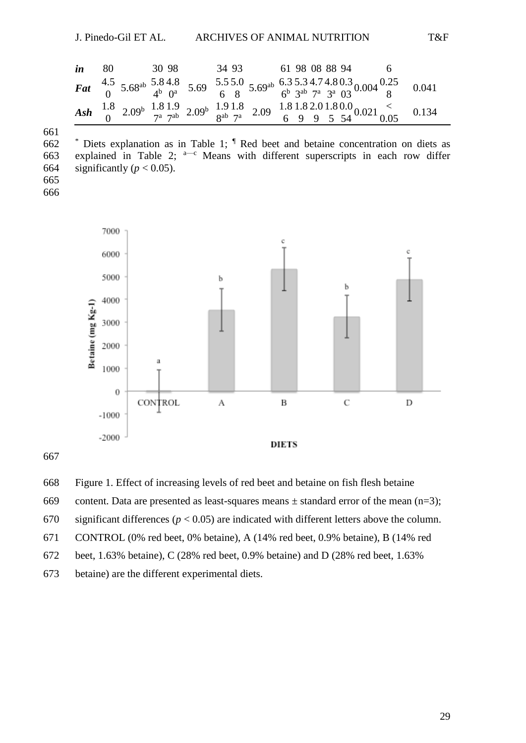|  |  | <i>in</i> 80 30 98 34 93 61 98 08 88 94 |  |  |                                                                                                                                                                                                                     |  |
|--|--|-----------------------------------------|--|--|---------------------------------------------------------------------------------------------------------------------------------------------------------------------------------------------------------------------|--|
|  |  |                                         |  |  | <i>Fat</i> $\begin{matrix} 4.5 & 5.68^{ab} & 5.84.8 \\ 0 & 4^b & 0^a \end{matrix}$ 5.69 $\begin{matrix} 5.55.0 & 5.69^{ab} & 6.35.34.74.80.3 \\ 6 & 8 & 5.69^{ab} & 3^{ab} & 7^a & 3^a & 0.3004 \end{matrix}$ 0.041 |  |
|  |  |                                         |  |  |                                                                                                                                                                                                                     |  |

661<br>662

662  $*$  Diets explanation as in Table 1;  $*$  Red beet and betaine concentration on diets as 663 explained in Table 2;  $a-c$  Means with different superscripts in each row differ 664 significantly ( $p < 0.05$ ).

665

666



667

668 Figure 1. Effect of increasing levels of red beet and betaine on fish flesh betaine

669 content. Data are presented as least-squares means  $\pm$  standard error of the mean (n=3);

670 significant differences ( $p < 0.05$ ) are indicated with different letters above the column.

671 CONTROL (0% red beet, 0% betaine), A (14% red beet, 0.9% betaine), B (14% red

672 beet, 1.63% betaine), C (28% red beet, 0.9% betaine) and D (28% red beet, 1.63%

673 betaine) are the different experimental diets.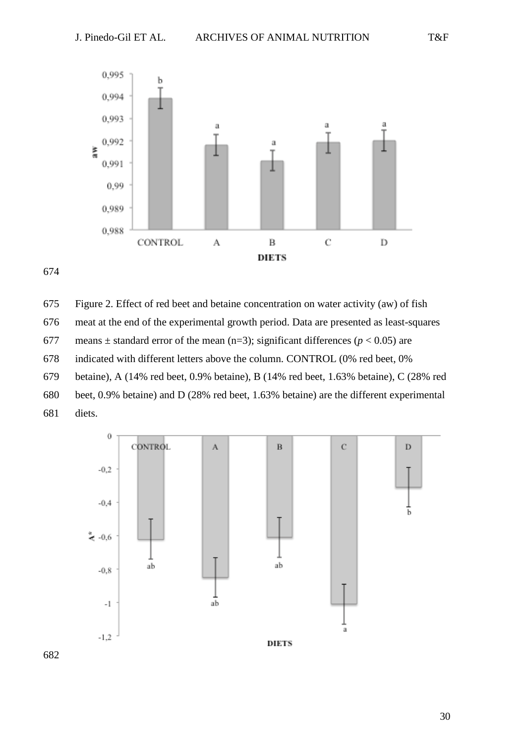



 Figure 2. Effect of red beet and betaine concentration on water activity (aw) of fish meat at the end of the experimental growth period. Data are presented as least-squares 677 means  $\pm$  standard error of the mean (n=3); significant differences ( $p < 0.05$ ) are indicated with different letters above the column. CONTROL (0% red beet, 0% betaine), A (14% red beet, 0.9% betaine), B (14% red beet, 1.63% betaine), C (28% red beet, 0.9% betaine) and D (28% red beet, 1.63% betaine) are the different experimental diets.

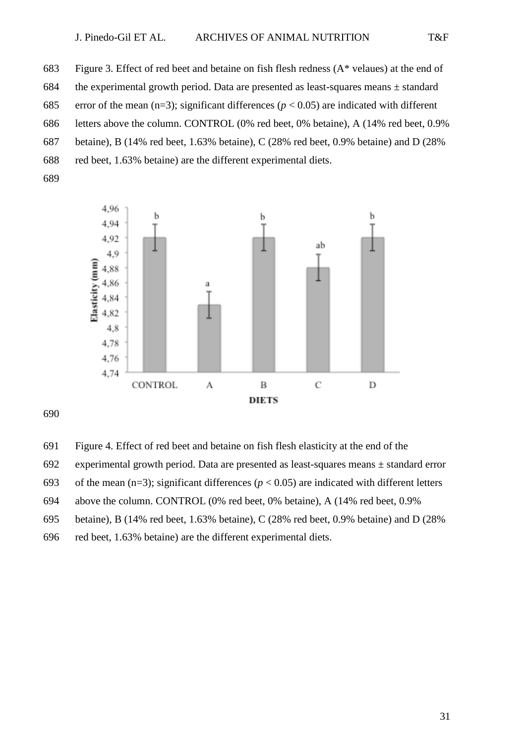683 Figure 3. Effect of red beet and betaine on fish flesh redness  $(A^*$  velaues) at the end of 684 the experimental growth period. Data are presented as least-squares means  $\pm$  standard 685 error of the mean  $(n=3)$ ; significant differences  $(p < 0.05)$  are indicated with different letters above the column. CONTROL (0% red beet, 0% betaine), A (14% red beet, 0.9% betaine), B (14% red beet, 1.63% betaine), C (28% red beet, 0.9% betaine) and D (28% red beet, 1.63% betaine) are the different experimental diets.



Figure 4. Effect of red beet and betaine on fish flesh elasticity at the end of the

692 experimental growth period. Data are presented as least-squares means  $\pm$  standard error

693 of the mean  $(n=3)$ ; significant differences ( $p < 0.05$ ) are indicated with different letters

above the column. CONTROL (0% red beet, 0% betaine), A (14% red beet, 0.9%

betaine), B (14% red beet, 1.63% betaine), C (28% red beet, 0.9% betaine) and D (28%

red beet, 1.63% betaine) are the different experimental diets.